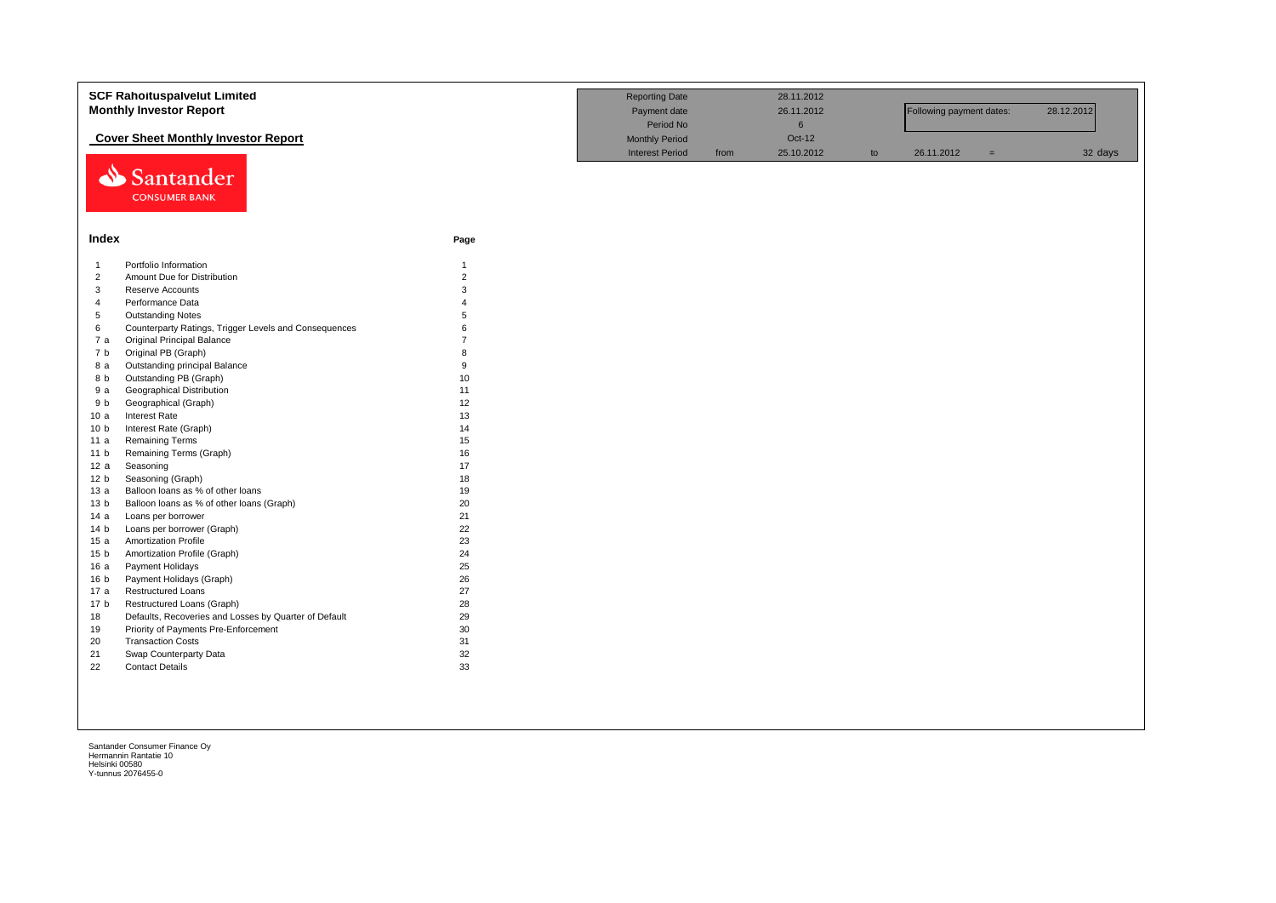|                 | <b>SCF Rahoituspalvelut Limited</b>                   |                | <b>Reporting Date</b>  |      | 28.11.2012 |    |                          |     |            |
|-----------------|-------------------------------------------------------|----------------|------------------------|------|------------|----|--------------------------|-----|------------|
|                 | <b>Monthly Investor Report</b>                        |                | Payment date           |      | 26.11.2012 |    | Following payment dates: |     | 28.12.2012 |
|                 |                                                       |                | Period No              |      | $\,6\,$    |    |                          |     |            |
|                 | <b>Cover Sheet Monthly Investor Report</b>            |                | <b>Monthly Period</b>  |      | Oct-12     |    |                          |     |            |
|                 | Santander                                             |                | <b>Interest Period</b> | from | 25.10.2012 | to | 26.11.2012               | $=$ | 32 days    |
|                 | <b>CONSUMER BANK</b>                                  |                |                        |      |            |    |                          |     |            |
|                 |                                                       |                |                        |      |            |    |                          |     |            |
|                 |                                                       |                |                        |      |            |    |                          |     |            |
| Index           |                                                       | Page           |                        |      |            |    |                          |     |            |
| $\overline{1}$  | Portfolio Information                                 | $\mathbf{1}$   |                        |      |            |    |                          |     |            |
| $\overline{2}$  | Amount Due for Distribution                           | $\overline{2}$ |                        |      |            |    |                          |     |            |
| 3               | Reserve Accounts                                      | 3              |                        |      |            |    |                          |     |            |
| $\overline{4}$  | Performance Data                                      | $\Delta$       |                        |      |            |    |                          |     |            |
| 5               | <b>Outstanding Notes</b>                              | 5              |                        |      |            |    |                          |     |            |
| 6               | Counterparty Ratings, Trigger Levels and Consequences | 6              |                        |      |            |    |                          |     |            |
| 7a              | <b>Original Principal Balance</b>                     |                |                        |      |            |    |                          |     |            |
| 7b              | Original PB (Graph)                                   | $\mathsf{R}$   |                        |      |            |    |                          |     |            |
| 8 a             | Outstanding principal Balance                         | 9              |                        |      |            |    |                          |     |            |
| 8 b             | Outstanding PB (Graph)                                | 10             |                        |      |            |    |                          |     |            |
| 9a              | <b>Geographical Distribution</b>                      | 11             |                        |      |            |    |                          |     |            |
| 9 b             | Geographical (Graph)                                  | 12             |                        |      |            |    |                          |     |            |
| 10a             | <b>Interest Rate</b>                                  | 13             |                        |      |            |    |                          |     |            |
| 10 <sub>b</sub> | Interest Rate (Graph)                                 | 14             |                        |      |            |    |                          |     |            |
| 11 a            | <b>Remaining Terms</b>                                | 15             |                        |      |            |    |                          |     |            |
| 11 <sub>b</sub> | Remaining Terms (Graph)                               | 16             |                        |      |            |    |                          |     |            |
| 12 a            | Seasoning                                             | 17             |                        |      |            |    |                          |     |            |
| 12 <sub>b</sub> | Seasoning (Graph)                                     | 18             |                        |      |            |    |                          |     |            |
| 13a             | Balloon loans as % of other loans                     | 19             |                        |      |            |    |                          |     |            |
| 13 <sub>b</sub> | Balloon loans as % of other loans (Graph)             | 20             |                        |      |            |    |                          |     |            |
| 14a             | Loans per borrower                                    | 21             |                        |      |            |    |                          |     |            |
| 14 <sub>b</sub> | Loans per borrower (Graph)                            | 22             |                        |      |            |    |                          |     |            |
| 15a             | <b>Amortization Profile</b>                           | 23             |                        |      |            |    |                          |     |            |
| 15 <sub>b</sub> | Amortization Profile (Graph)                          | 24             |                        |      |            |    |                          |     |            |
| 16a             | Payment Holidays                                      | 25             |                        |      |            |    |                          |     |            |
| 16 b            | Payment Holidays (Graph)                              | 26             |                        |      |            |    |                          |     |            |
| 17 a            | Restructured Loans                                    | 27             |                        |      |            |    |                          |     |            |
| 17 <sub>b</sub> | Restructured Loans (Graph)                            | 28             |                        |      |            |    |                          |     |            |
| 18              | Defaults, Recoveries and Losses by Quarter of Default | 29             |                        |      |            |    |                          |     |            |
| 19              | Priority of Payments Pre-Enforcement                  | 30             |                        |      |            |    |                          |     |            |
| 20              | <b>Transaction Costs</b>                              | 31             |                        |      |            |    |                          |     |            |
| 21              | Swap Counterparty Data                                | 32             |                        |      |            |    |                          |     |            |
| 22              | <b>Contact Details</b>                                | 33             |                        |      |            |    |                          |     |            |
|                 |                                                       |                |                        |      |            |    |                          |     |            |
|                 |                                                       |                |                        |      |            |    |                          |     |            |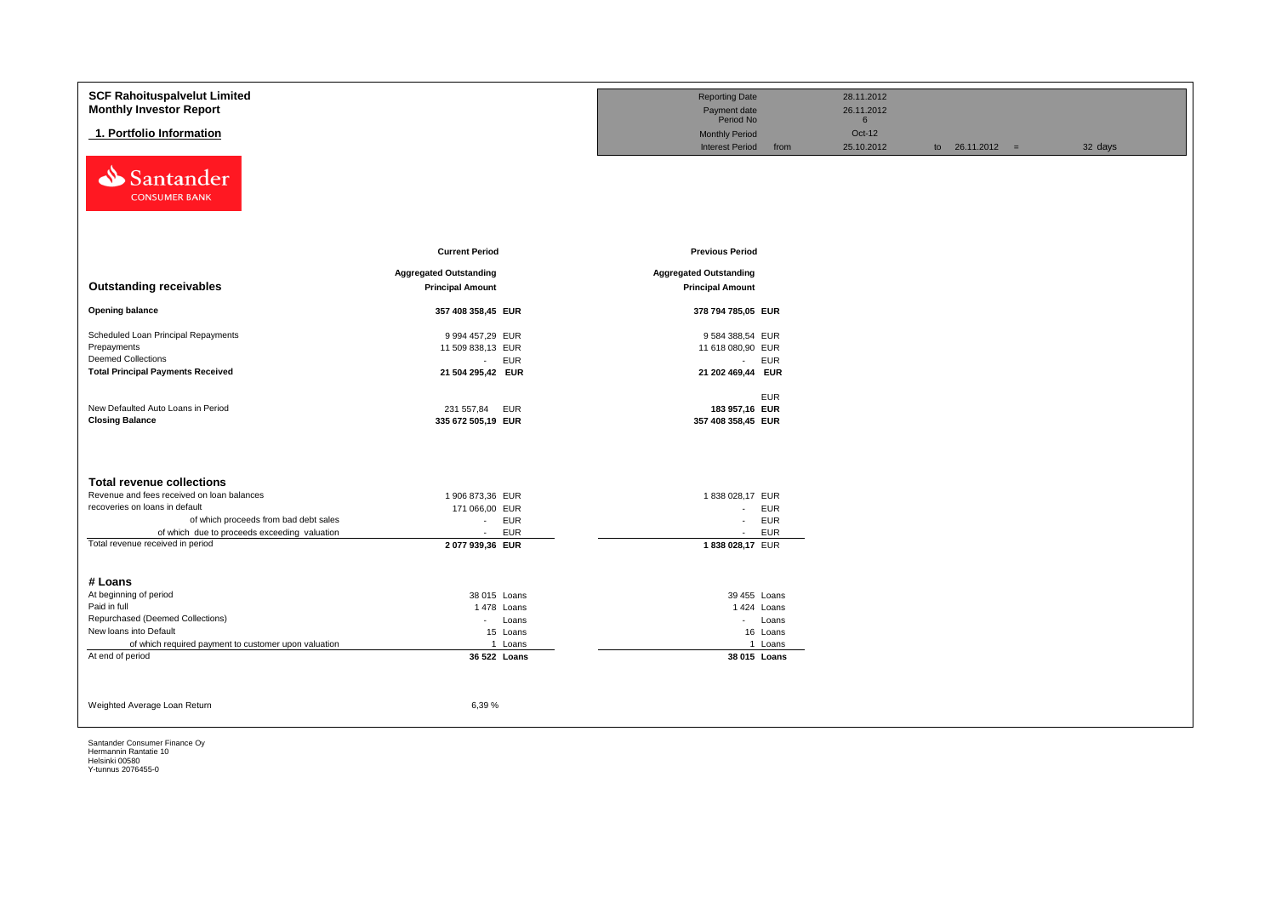| <b>SCF Rahoituspalvelut Limited</b>                        |                               | <b>Reporting Date</b>                                   | 28.11.2012                |                   |         |
|------------------------------------------------------------|-------------------------------|---------------------------------------------------------|---------------------------|-------------------|---------|
| <b>Monthly Investor Report</b>                             |                               | Payment date                                            | 26.11.2012                |                   |         |
| 1. Portfolio Information                                   |                               | Period No                                               | $6\overline{6}$<br>Oct-12 |                   |         |
|                                                            |                               | <b>Monthly Period</b><br><b>Interest Period</b><br>from | 25.10.2012                | to $26.11.2012 =$ | 32 days |
| ⇘<br>Santander<br><b>CONSUMER BANK</b>                     |                               |                                                         |                           |                   |         |
|                                                            | <b>Current Period</b>         | <b>Previous Period</b>                                  |                           |                   |         |
|                                                            | <b>Aggregated Outstanding</b> | <b>Aggregated Outstanding</b>                           |                           |                   |         |
| <b>Outstanding receivables</b>                             | <b>Principal Amount</b>       | <b>Principal Amount</b>                                 |                           |                   |         |
| <b>Opening balance</b>                                     | 357 408 358,45 EUR            | 378 794 785,05 EUR                                      |                           |                   |         |
| Scheduled Loan Principal Repayments                        | 9 994 457,29 EUR              | 9 584 388,54 EUR                                        |                           |                   |         |
| Prepayments                                                | 11 509 838,13 EUR             | 11 618 080,90 EUR                                       |                           |                   |         |
| <b>Deemed Collections</b>                                  | <b>EUR</b><br>$\sim$          | - EUR                                                   |                           |                   |         |
| <b>Total Principal Payments Received</b>                   | 21 504 295,42 EUR             | 21 202 469,44 EUR                                       |                           |                   |         |
|                                                            |                               |                                                         |                           |                   |         |
| New Defaulted Auto Loans in Period                         | 231 557,84<br>EUR             | <b>EUR</b><br>183 957,16 EUR                            |                           |                   |         |
| <b>Closing Balance</b>                                     | 335 672 505,19 EUR            | 357 408 358,45 EUR                                      |                           |                   |         |
|                                                            |                               |                                                         |                           |                   |         |
|                                                            |                               |                                                         |                           |                   |         |
| <b>Total revenue collections</b>                           |                               |                                                         |                           |                   |         |
| Revenue and fees received on loan balances                 | 1 906 873,36 EUR              | 1838 028,17 EUR                                         |                           |                   |         |
| recoveries on loans in default                             | 171 066,00 EUR                | - EUR                                                   |                           |                   |         |
| of which proceeds from bad debt sales                      | <b>EUR</b><br>$\sim$          | - EUR                                                   |                           |                   |         |
| of which due to proceeds exceeding valuation               | <b>EUR</b><br>$\sim$          | <b>EUR</b><br>$\sim$                                    |                           |                   |         |
| Total revenue received in period                           | 2 077 939,36 EUR              | 1838 028,17 EUR                                         |                           |                   |         |
|                                                            |                               |                                                         |                           |                   |         |
| # Loans                                                    |                               |                                                         |                           |                   |         |
| At beginning of period                                     | 38 015 Loans                  | 39 455 Loans                                            |                           |                   |         |
| Paid in full                                               | 1478 Loans                    | 1 424 Loans                                             |                           |                   |         |
| Repurchased (Deemed Collections)<br>New loans into Default | - Loans                       | - Loans                                                 |                           |                   |         |
| of which required payment to customer upon valuation       | 15 Loans<br>1 Loans           | 16 Loans<br>1 Loans                                     |                           |                   |         |
| At end of period                                           | 36 522 Loans                  | 38 015 Loans                                            |                           |                   |         |
|                                                            |                               |                                                         |                           |                   |         |
|                                                            |                               |                                                         |                           |                   |         |
|                                                            |                               |                                                         |                           |                   |         |
| Weighted Average Loan Return                               | 6,39%                         |                                                         |                           |                   |         |
|                                                            |                               |                                                         |                           |                   |         |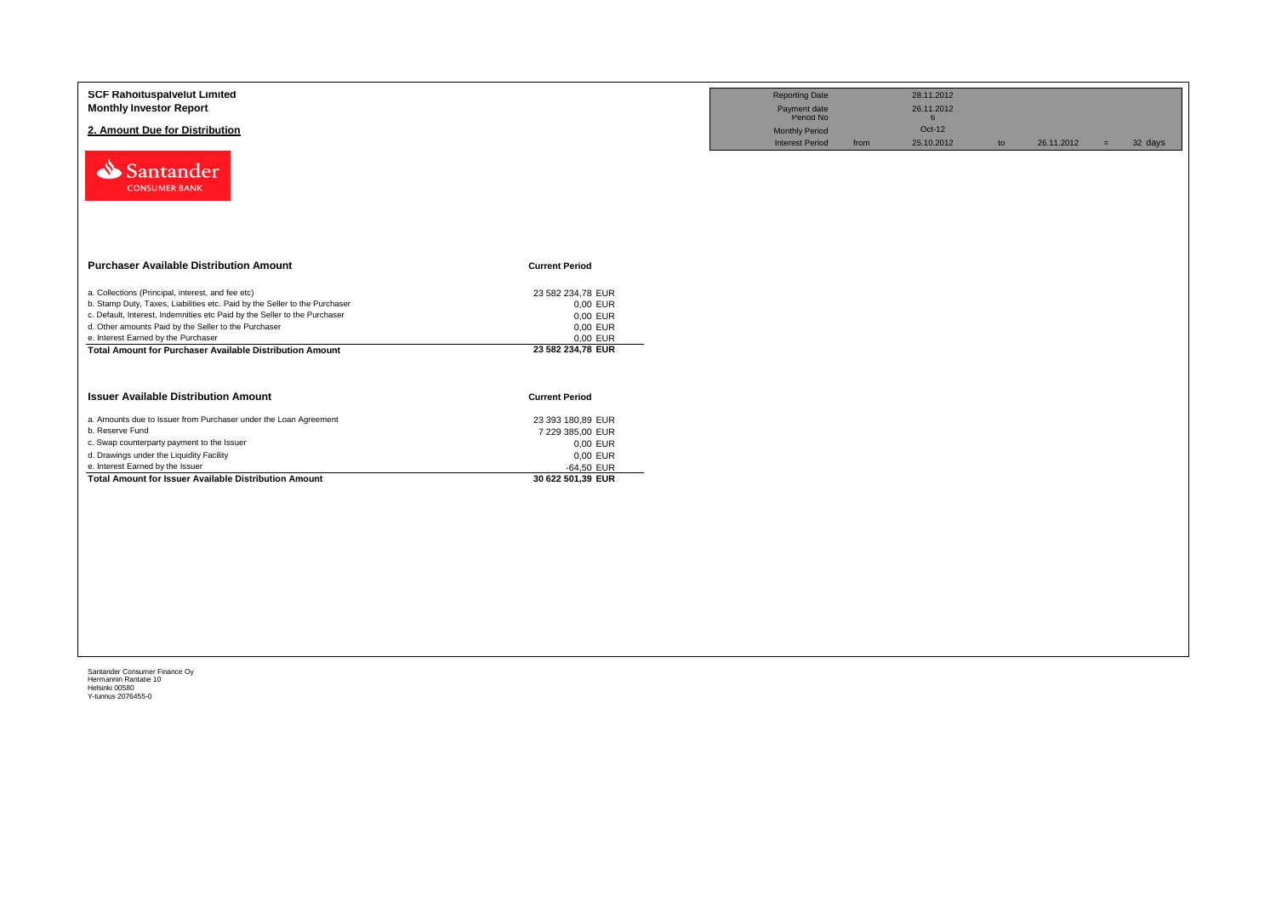| <b>SCF Rahoituspalvelut Limited</b><br><b>Monthly Investor Report</b><br>2. Amount Due for Distribution<br>Santander<br><b>CONSUMER BANK</b>                                                                                                                                                                                                                                   |                                                                                                  | <b>Reporting Date</b><br>Payment date<br>Period No<br><b>Monthly Period</b><br><b>Interest Period</b> | from | 28.11.2012<br>26.11.2012<br>6<br>Oct-12<br>25.10.2012 | to | 26.11.2012 | $=$ | 32 days |
|--------------------------------------------------------------------------------------------------------------------------------------------------------------------------------------------------------------------------------------------------------------------------------------------------------------------------------------------------------------------------------|--------------------------------------------------------------------------------------------------|-------------------------------------------------------------------------------------------------------|------|-------------------------------------------------------|----|------------|-----|---------|
| <b>Purchaser Available Distribution Amount</b>                                                                                                                                                                                                                                                                                                                                 | <b>Current Period</b>                                                                            |                                                                                                       |      |                                                       |    |            |     |         |
| a. Collections (Principal, interest, and fee etc)<br>b. Stamp Duty, Taxes, Liabilities etc. Paid by the Seller to the Purchaser<br>c. Default, Interest, Indemnities etc Paid by the Seller to the Purchaser<br>d. Other amounts Paid by the Seller to the Purchaser<br>e. Interest Earned by the Purchaser<br><b>Total Amount for Purchaser Available Distribution Amount</b> | 23 582 234,78 EUR<br>0,00 EUR<br>0,00 EUR<br>0,00 EUR<br>0,00 EUR<br>23 582 234,78 EUR           |                                                                                                       |      |                                                       |    |            |     |         |
| <b>Issuer Available Distribution Amount</b>                                                                                                                                                                                                                                                                                                                                    | <b>Current Period</b>                                                                            |                                                                                                       |      |                                                       |    |            |     |         |
| a. Amounts due to Issuer from Purchaser under the Loan Agreement<br>b. Reserve Fund<br>c. Swap counterparty payment to the Issuer<br>d. Drawings under the Liquidity Facility<br>e. Interest Earned by the Issuer<br><b>Total Amount for Issuer Available Distribution Amount</b>                                                                                              | 23 393 180,89 EUR<br>7 229 385,00 EUR<br>0,00 EUR<br>0,00 EUR<br>-64,50 EUR<br>30 622 501,39 EUR |                                                                                                       |      |                                                       |    |            |     |         |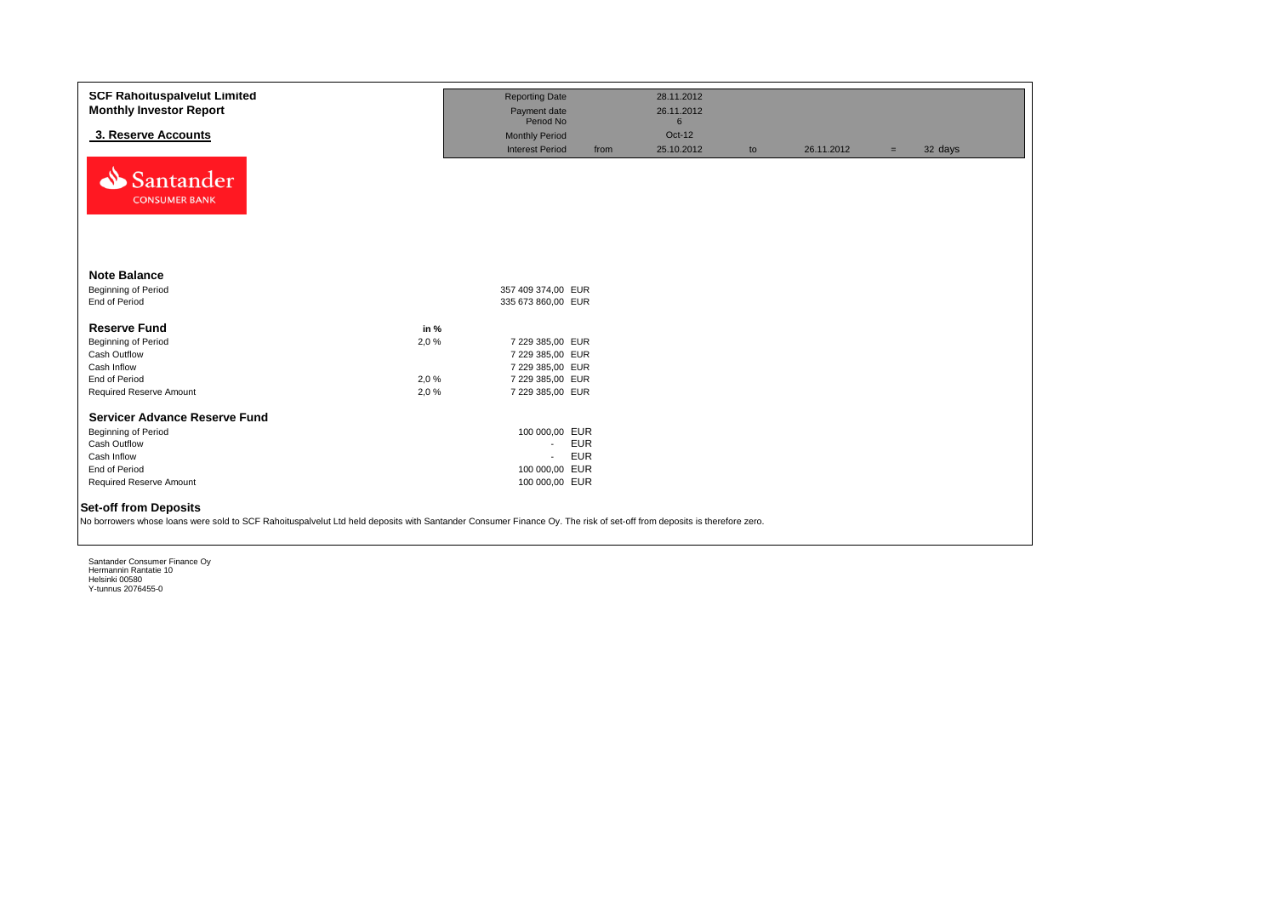| <b>SCF Rahoituspalvelut Limited</b><br><b>Monthly Investor Report</b>                                                                                                                                 |       | <b>Reporting Date</b><br>Payment date |            | 28.11.2012<br>26.11.2012 |    |            |     |         |
|-------------------------------------------------------------------------------------------------------------------------------------------------------------------------------------------------------|-------|---------------------------------------|------------|--------------------------|----|------------|-----|---------|
|                                                                                                                                                                                                       |       | Period No                             |            | 6                        |    |            |     |         |
| 3. Reserve Accounts                                                                                                                                                                                   |       | <b>Monthly Period</b>                 |            | Oct-12                   |    |            |     |         |
|                                                                                                                                                                                                       |       | <b>Interest Period</b>                | from       | 25.10.2012               | to | 26.11.2012 | $=$ | 32 days |
| Santander<br><b>CONSUMER BANK</b>                                                                                                                                                                     |       |                                       |            |                          |    |            |     |         |
| <b>Note Balance</b>                                                                                                                                                                                   |       |                                       |            |                          |    |            |     |         |
| Beginning of Period                                                                                                                                                                                   |       | 357 409 374,00 EUR                    |            |                          |    |            |     |         |
| End of Period                                                                                                                                                                                         |       | 335 673 860,00 EUR                    |            |                          |    |            |     |         |
| <b>Reserve Fund</b>                                                                                                                                                                                   | in %  |                                       |            |                          |    |            |     |         |
| Beginning of Period                                                                                                                                                                                   | 2,0 % | 7 229 385,00 EUR                      |            |                          |    |            |     |         |
| Cash Outflow                                                                                                                                                                                          |       | 7 229 385,00 EUR                      |            |                          |    |            |     |         |
| Cash Inflow                                                                                                                                                                                           |       | 7 229 385,00 EUR                      |            |                          |    |            |     |         |
| End of Period                                                                                                                                                                                         | 2,0 % | 7 229 385,00 EUR                      |            |                          |    |            |     |         |
| Required Reserve Amount                                                                                                                                                                               | 2,0%  | 7 229 385,00 EUR                      |            |                          |    |            |     |         |
|                                                                                                                                                                                                       |       |                                       |            |                          |    |            |     |         |
| <b>Servicer Advance Reserve Fund</b>                                                                                                                                                                  |       |                                       |            |                          |    |            |     |         |
| Beginning of Period<br>Cash Outflow                                                                                                                                                                   |       | 100 000,00 EUR                        | <b>EUR</b> |                          |    |            |     |         |
|                                                                                                                                                                                                       |       | $\sim$                                | <b>EUR</b> |                          |    |            |     |         |
| Cash Inflow<br>End of Period                                                                                                                                                                          |       | $\sim$<br>100 000,00 EUR              |            |                          |    |            |     |         |
| Required Reserve Amount                                                                                                                                                                               |       | 100 000,00 EUR                        |            |                          |    |            |     |         |
|                                                                                                                                                                                                       |       |                                       |            |                          |    |            |     |         |
| <b>Set-off from Deposits</b><br>No borrowers whose loans were sold to SCF Rahoituspalvelut Ltd held deposits with Santander Consumer Finance Oy. The risk of set-off from deposits is therefore zero. |       |                                       |            |                          |    |            |     |         |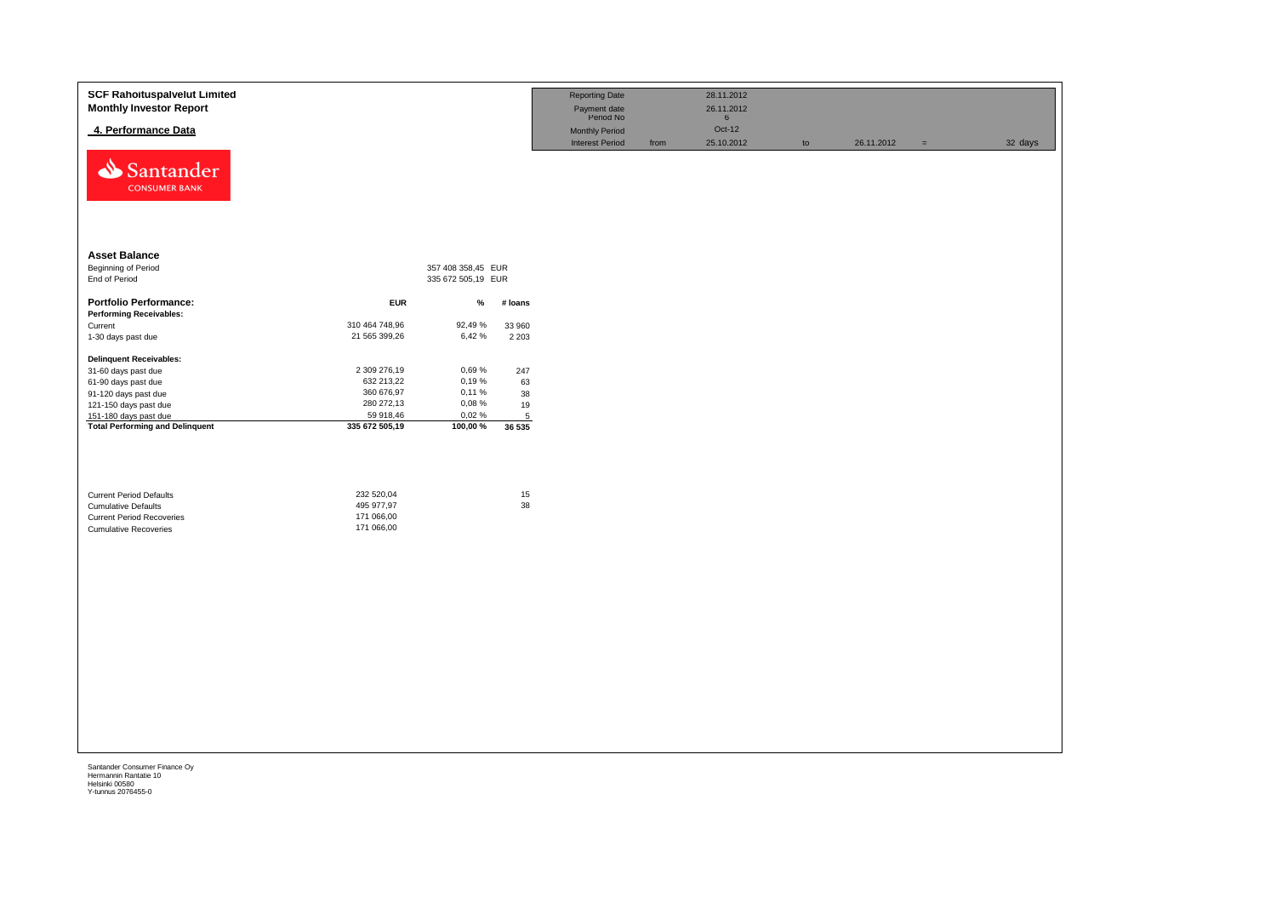| <b>SCF Rahoituspalvelut Limited</b><br><b>Monthly Investor Report</b> |                |                    |         | <b>Reporting Date</b><br>Payment date<br>Period No |      | 28.11.2012<br>26.11.2012<br>$6\overline{6}$ |    |            |          |         |
|-----------------------------------------------------------------------|----------------|--------------------|---------|----------------------------------------------------|------|---------------------------------------------|----|------------|----------|---------|
| 4. Performance Data                                                   |                |                    |         | Monthly Period                                     |      | Oct-12                                      |    |            |          |         |
| Santander<br><b>CONSUMER BANK</b>                                     |                |                    |         | <b>Interest Period</b>                             | from | 25.10.2012                                  | to | 26.11.2012 | $\equiv$ | 32 days |
| <b>Asset Balance</b>                                                  |                |                    |         |                                                    |      |                                             |    |            |          |         |
| <b>Beginning of Period</b>                                            |                | 357 408 358,45 EUR |         |                                                    |      |                                             |    |            |          |         |
| End of Period                                                         |                | 335 672 505,19 EUR |         |                                                    |      |                                             |    |            |          |         |
| <b>Portfolio Performance:</b>                                         | <b>EUR</b>     | %                  | # loans |                                                    |      |                                             |    |            |          |         |
| <b>Performing Receivables:</b>                                        |                |                    |         |                                                    |      |                                             |    |            |          |         |
| Current                                                               | 310 464 748,96 | 92,49%             | 33 960  |                                                    |      |                                             |    |            |          |         |
| 1-30 days past due                                                    | 21 565 399,26  | 6,42%              | 2 2 0 3 |                                                    |      |                                             |    |            |          |         |
| <b>Delinquent Receivables:</b>                                        |                |                    |         |                                                    |      |                                             |    |            |          |         |
| 31-60 days past due                                                   | 2 309 276,19   | 0,69%              | 247     |                                                    |      |                                             |    |            |          |         |
| 61-90 days past due                                                   | 632 213,22     | 0,19%              | 63      |                                                    |      |                                             |    |            |          |         |
| 91-120 days past due                                                  | 360 676,97     | 0,11%              | 38      |                                                    |      |                                             |    |            |          |         |
| 121-150 days past due                                                 | 280 272,13     | 0,08%              | 19      |                                                    |      |                                             |    |            |          |         |
| 151-180 days past due                                                 | 59 918,46      | 0,02%              | 5       |                                                    |      |                                             |    |            |          |         |
| <b>Total Performing and Delinquent</b>                                | 335 672 505,19 | 100,00 %           | 36 535  |                                                    |      |                                             |    |            |          |         |
| <b>Current Period Defaults</b>                                        | 232 520,04     |                    | 15      |                                                    |      |                                             |    |            |          |         |
| <b>Cumulative Defaults</b>                                            | 495 977,97     |                    | 38      |                                                    |      |                                             |    |            |          |         |
| <b>Current Period Recoveries</b>                                      | 171 066,00     |                    |         |                                                    |      |                                             |    |            |          |         |
| <b>Cumulative Recoveries</b>                                          | 171 066,00     |                    |         |                                                    |      |                                             |    |            |          |         |
|                                                                       |                |                    |         |                                                    |      |                                             |    |            |          |         |
|                                                                       |                |                    |         |                                                    |      |                                             |    |            |          |         |
|                                                                       |                |                    |         |                                                    |      |                                             |    |            |          |         |
|                                                                       |                |                    |         |                                                    |      |                                             |    |            |          |         |
|                                                                       |                |                    |         |                                                    |      |                                             |    |            |          |         |
|                                                                       |                |                    |         |                                                    |      |                                             |    |            |          |         |
|                                                                       |                |                    |         |                                                    |      |                                             |    |            |          |         |
|                                                                       |                |                    |         |                                                    |      |                                             |    |            |          |         |
|                                                                       |                |                    |         |                                                    |      |                                             |    |            |          |         |
|                                                                       |                |                    |         |                                                    |      |                                             |    |            |          |         |
|                                                                       |                |                    |         |                                                    |      |                                             |    |            |          |         |
|                                                                       |                |                    |         |                                                    |      |                                             |    |            |          |         |
|                                                                       |                |                    |         |                                                    |      |                                             |    |            |          |         |
|                                                                       |                |                    |         |                                                    |      |                                             |    |            |          |         |
|                                                                       |                |                    |         |                                                    |      |                                             |    |            |          |         |
|                                                                       |                |                    |         |                                                    |      |                                             |    |            |          |         |
|                                                                       |                |                    |         |                                                    |      |                                             |    |            |          |         |
|                                                                       |                |                    |         |                                                    |      |                                             |    |            |          |         |
|                                                                       |                |                    |         |                                                    |      |                                             |    |            |          |         |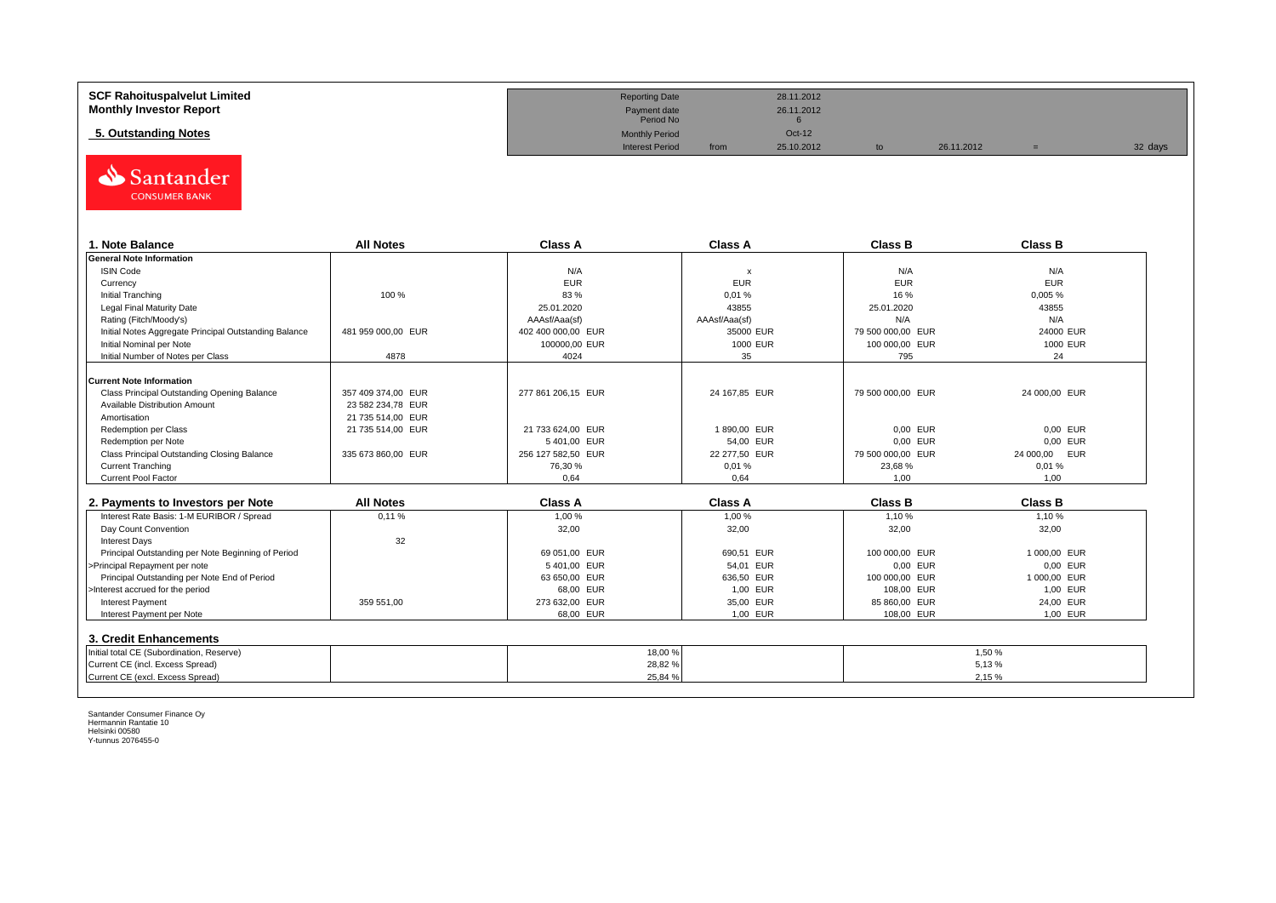| <b>SCF Rahoituspalvelut Limited</b> | <b>Reporting Date</b>     |      | 28.11.2012 |            |         |
|-------------------------------------|---------------------------|------|------------|------------|---------|
| <b>Monthly Investor Report</b>      | Payment date<br>Period No |      | 26.11.2012 |            |         |
| 5. Outstanding Notes                | <b>Monthly Period</b>     |      | Oct-12     |            |         |
|                                     | <b>Interest Period</b>    | from | 25.10.2012 | 26.11.2012 | 32 days |



| 1. Note Balance                                       | <b>All Notes</b>   | <b>Class A</b>     | <b>Class A</b> | <b>Class B</b>    | <b>Class B</b> |
|-------------------------------------------------------|--------------------|--------------------|----------------|-------------------|----------------|
| <b>General Note Information</b>                       |                    |                    |                |                   |                |
| <b>ISIN Code</b>                                      |                    | N/A                | X              | N/A               | N/A            |
| Currency                                              |                    | <b>EUR</b>         | <b>EUR</b>     | <b>EUR</b>        | <b>EUR</b>     |
| Initial Tranching                                     | 100 %              | 83 %               | 0,01%          | 16 %              | 0,005 %        |
| Legal Final Maturity Date                             |                    | 25.01.2020         | 43855          | 25.01.2020        | 43855          |
| Rating (Fitch/Moody's)                                |                    | AAAsf/Aaa(sf)      | AAAsf/Aaa(sf)  | N/A               | N/A            |
| Initial Notes Aggregate Principal Outstanding Balance | 481 959 000.00 EUR | 402 400 000.00 EUR | 35000 EUR      | 79 500 000,00 EUR | 24000 EUR      |
| Initial Nominal per Note                              |                    | 100000.00 EUR      | 1000 EUR       | 100 000,00 EUR    | 1000 EUR       |
| Initial Number of Notes per Class                     | 4878               | 4024               | 35             | 795               | 24             |
|                                                       |                    |                    |                |                   |                |
| Current Note Information                              |                    |                    |                |                   |                |
| Class Principal Outstanding Opening Balance           | 357 409 374.00 EUR | 277 861 206,15 EUR | 24 167,85 EUR  | 79 500 000,00 EUR | 24 000,00 EUR  |
| Available Distribution Amount                         | 23 582 234.78 EUR  |                    |                |                   |                |
| Amortisation                                          | 21 735 514.00 EUR  |                    |                |                   |                |
| Redemption per Class                                  | 21 735 514.00 EUR  | 21 733 624,00 EUR  | 1890,00 EUR    | 0,00 EUR          | 0,00 EUR       |
| Redemption per Note                                   |                    | 5401,00 EUR        | 54,00 EUR      | 0.00 EUR          | 0.00 EUR       |
| Class Principal Outstanding Closing Balance           | 335 673 860,00 EUR | 256 127 582,50 EUR | 22 277,50 EUR  | 79 500 000,00 EUR | 24 000,00 EUR  |
| <b>Current Tranching</b>                              |                    | 76,30 %            | 0,01%          | 23,68 %           | 0.01%          |
| <b>Current Pool Factor</b>                            |                    | 0.64               | 0.64           | 1.00              | 1.00           |

| 2. Payments to Investors per Note                  | <b>All Notes</b> | <b>Class A</b> | <b>Class A</b> | <b>Class B</b> | <b>Class B</b> |
|----------------------------------------------------|------------------|----------------|----------------|----------------|----------------|
| Interest Rate Basis: 1-M EURIBOR / Spread          | 0.11%            | 1.00 %         | 1.00 %         | 1.10%          | 1.10 %         |
| Day Count Convention                               |                  | 32,00          | 32,00          | 32,00          | 32,00          |
| <b>Interest Days</b>                               | 32               |                |                |                |                |
| Principal Outstanding per Note Beginning of Period |                  | 69 051.00 EUR  | 690.51 EUR     | 100 000.00 EUR | 1 000.00 EUR   |
| >Principal Repayment per note                      |                  | 5401.00 EUR    | 54.01 EUR      | 0.00 EUR       | 0.00 EUR       |
| Principal Outstanding per Note End of Period       |                  | 63 650.00 EUR  | 636.50 EUR     | 100 000.00 EUR | 1 000.00 EUR   |
| >Interest accrued for the period                   |                  | 68.00 EUR      | 1.00 EUR       | 108.00 EUR     | 1.00 EUR       |
| <b>Interest Payment</b>                            | 359 551.00       | 273 632,00 EUR | 35.00 EUR      | 85 860.00 EUR  | 24.00 EUR      |
| Interest Payment per Note                          |                  | 68.00 EUR      | 1.00 EUR       | 108.00 EUR     | 1,00 EUR       |
| 3. Credit Enhancements                             |                  |                |                |                |                |
| Initial total CE (Subordination, Reserve)          |                  | 18,00%         |                |                | 1.50 %         |
| Current CE (incl. Excess Spread)                   |                  | 28,82%         |                |                | 5.13%          |
| Current CE (excl. Excess Spread)                   |                  | 25,84 %        |                |                | 2.15%          |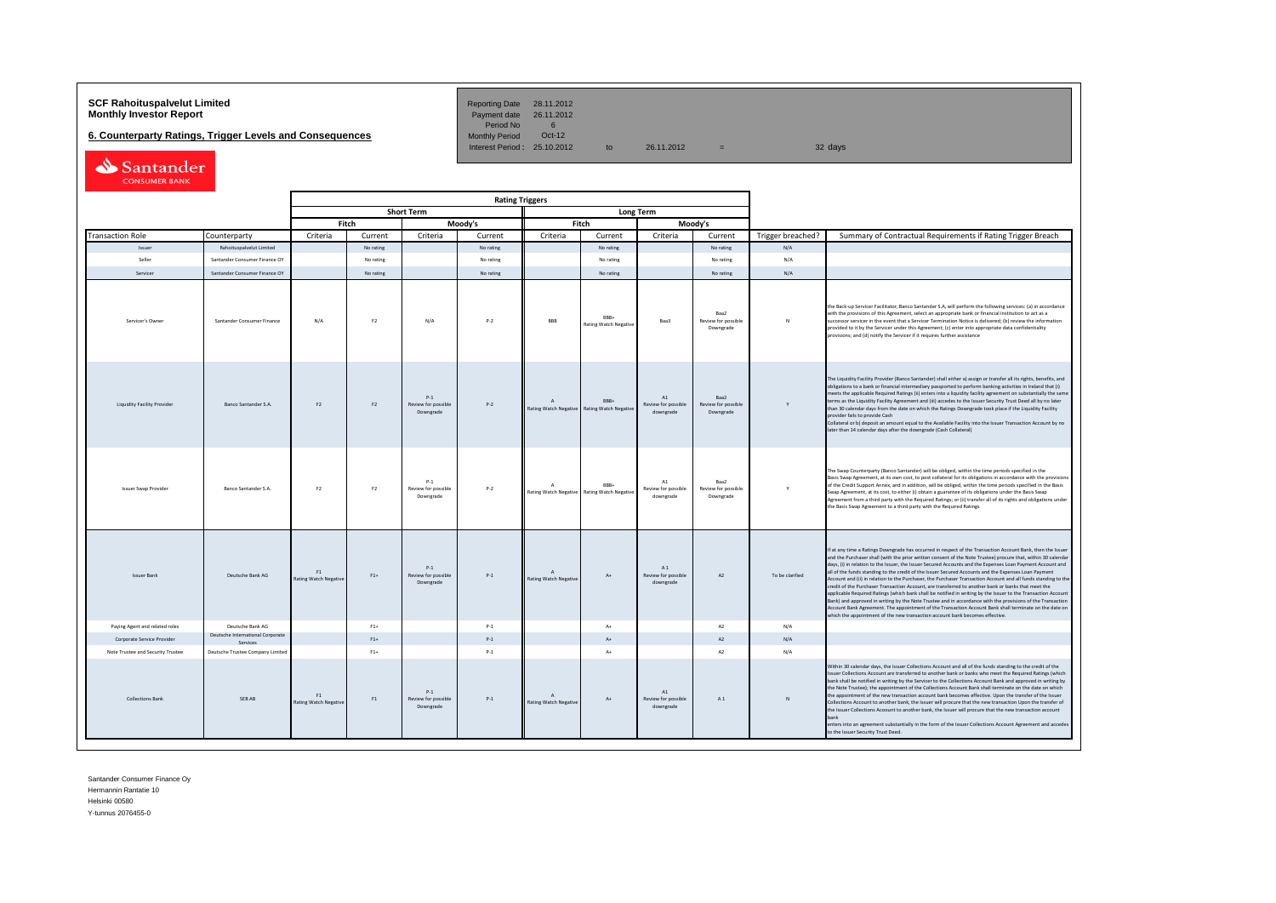# **SCF Rahoituspalvelut Limited Community Community Payment date 28.11.2012<br><b>Monthly Investor Report** Payment date 26.11.2012

**6. Counterparty Ratings, Trigger Levels and Consequences** 

Period No 6<br>Monthly Period 0ct-12 Interest Period:  $25.10.2012$  to  $26.11.2012$  = 32 days

| Santander            |
|----------------------|
| <b>CONSUMER BANK</b> |

|                                    |                                              |                                    | <b>Rating Triggers</b> |                                           |           |                                           |                                      |                                                   |                                          |                   |                                                                                                                                                                                                                                                                                                                                                                                                                                                                                                                                                                                                                                                                                                                                                                                                                                                                                                                                                                                                                                                                                                      |
|------------------------------------|----------------------------------------------|------------------------------------|------------------------|-------------------------------------------|-----------|-------------------------------------------|--------------------------------------|---------------------------------------------------|------------------------------------------|-------------------|------------------------------------------------------------------------------------------------------------------------------------------------------------------------------------------------------------------------------------------------------------------------------------------------------------------------------------------------------------------------------------------------------------------------------------------------------------------------------------------------------------------------------------------------------------------------------------------------------------------------------------------------------------------------------------------------------------------------------------------------------------------------------------------------------------------------------------------------------------------------------------------------------------------------------------------------------------------------------------------------------------------------------------------------------------------------------------------------------|
|                                    |                                              |                                    |                        | <b>Short Term</b>                         |           |                                           | <b>Long Term</b>                     |                                                   |                                          |                   |                                                                                                                                                                                                                                                                                                                                                                                                                                                                                                                                                                                                                                                                                                                                                                                                                                                                                                                                                                                                                                                                                                      |
|                                    |                                              |                                    | Fitch                  |                                           | Moody's   |                                           | Fitch                                |                                                   | Moodv's                                  |                   |                                                                                                                                                                                                                                                                                                                                                                                                                                                                                                                                                                                                                                                                                                                                                                                                                                                                                                                                                                                                                                                                                                      |
| <b>Transaction Role</b>            | Counterparty                                 | Criteria                           | Current                | Criteria                                  | Current   | Criteria                                  | Current                              | Criteria                                          | Current                                  | Trigger breached? | Summary of Contractual Requirements if Rating Trigger Breach                                                                                                                                                                                                                                                                                                                                                                                                                                                                                                                                                                                                                                                                                                                                                                                                                                                                                                                                                                                                                                         |
| Issuer                             | Rahoituspalvelut Limited                     |                                    | No rating              |                                           | No rating |                                           | No rating                            |                                                   | No rating                                | N/A               |                                                                                                                                                                                                                                                                                                                                                                                                                                                                                                                                                                                                                                                                                                                                                                                                                                                                                                                                                                                                                                                                                                      |
| Seller                             | Santander Consumer Finance OY                |                                    | No rating              |                                           | No rating |                                           | No rating                            |                                                   | No rating                                | N/A               |                                                                                                                                                                                                                                                                                                                                                                                                                                                                                                                                                                                                                                                                                                                                                                                                                                                                                                                                                                                                                                                                                                      |
| Servicer                           | Santander Consumer Finance OY                |                                    | No rating              |                                           | No rating |                                           | No rating                            |                                                   | No rating                                | N/A               |                                                                                                                                                                                                                                                                                                                                                                                                                                                                                                                                                                                                                                                                                                                                                                                                                                                                                                                                                                                                                                                                                                      |
| Servicer's Owner                   | Santander Consumer Finance                   | N/A                                | F <sub>2</sub>         | N/A                                       | $P-2$     | BBB                                       | RRR+<br><b>Rating Watch Negative</b> | Baa3                                              | Raa2<br>Review for possible<br>Downgrade | $\mathbf{N}$      | the Back-up Servicer Facilitator, Banco Santander S.A, will perform the following services: (a) in accordance<br>with the provisions of this Agreement, select an appropriate bank or financial institution to act as a<br>successor servicer in the event that a Servicer Termination Notice is delivered; (b) review the information<br>provided to it by the Servicer under this Agreement; (c) enter into appropriate data confidentiality<br>provisions; and (d) notify the Servicer if it requires further assistance                                                                                                                                                                                                                                                                                                                                                                                                                                                                                                                                                                          |
| <b>Liquidity Facility Provider</b> | <b>Banco Santander S.A.</b>                  | F <sub>2</sub>                     | F2                     | $P-1$<br>Review for possible<br>Downgrade | $P-2$     | $\overline{A}$<br>Rating Watch Negative   | RRR+<br><b>Rating Watch Negativ</b>  | A1<br>Review for possible<br>downgrade            | Baa2<br>Review for possible<br>Downgrade | Y                 | The Liquidity Facility Provider (Banco Santander) shall either a) assign or transfer all its rights, benefits, and<br>obligations to a bank or financial intermediary passported to perform banking activities in Ireland that (i)<br>meets the applicable Required Ratings (ii) enters into a liquidity facility agreement on substantially the same<br>terms as the Liquidity Facility Agreement and (iii) accedes to the Issuer Security Trust Deed all by no later<br>than 30 calendar days from the date on which the Ratings Downgrade took place if the Liquidity Facility<br>provider fails to provide Cash<br>Collateral or b) deposit an amount equal to the Available Facility into the Issuer Transaction Account by no<br>later than 14 calendar days after the downgrade (Cash Collateral)                                                                                                                                                                                                                                                                                             |
| <b>Issuer Swap Provider</b>        | Banco Santander S.A.                         | F <sub>2</sub>                     | F <sub>2</sub>         | $P-1$<br>Review for possible<br>Downgrade | $P - 2$   | $\Lambda$<br>Rating Watch Negative        | RRR+<br><b>Rating Watch Negative</b> | $\mathbf{A}1$<br>Review for possible<br>downgrade | Baa2<br>Review for possible<br>Downgrade | Y                 | The Swap Counterparty (Banco Santander) will be obliged, within the time periods specified in the<br>Basis Swap Agreement, at its own cost, to post collateral for its obligations in accordance with the provisions<br>of the Credit Support Annex, and in addition, will be obliged, within the time periods specified in the Basis<br>Swap Agreement, at its cost, to either (i) obtain a guarantee of its obligations under the Basis Swap<br>Agreement from a third party with the Required Ratings; or (ii) transfer all of its rights and obligations under<br>the Basis Swap Agreement to a third party with the Required Ratings                                                                                                                                                                                                                                                                                                                                                                                                                                                            |
| <b>Issuer Bank</b>                 | Deutsche Bank AG                             | F1<br>Rating Watch Negative        | $F1+$                  | $P-1$<br>Review for possible<br>Downgrade | $P-1$     | $\mathsf{A}$<br>Rating Watch Negative     | $\Lambda +$                          | A1<br>Review for possible<br>downgrade            | A2                                       | To be clarified   | If at any time a Ratings Downgrade has occurred in respect of the Transaction Account Bank, then the Issuer<br>and the Purchaser shall (with the prior written consent of the Note Trustee) procure that, within 30 calendar<br>days, (i) in relation to the Issuer, the Issuer Secured Accounts and the Expenses Loan Payment Account and<br>all of the funds standing to the credit of the Issuer Secured Accounts and the Expenses Loan Payment<br>Account and (ii) in relation to the Purchaser, the Purchaser Transaction Account and all funds standing to the<br>credit of the Purchaser Transaction Account, are transferred to another bank or banks that meet the<br>applicable Required Ratings (which bank shall be notified in writing by the Issuer to the Transaction Account<br>Bank) and approved in writing by the Note Trustee and in accordance with the provisions of the Transaction<br>Account Bank Agreement. The appointment of the Transaction Account Bank shall terminate on the date on<br>which the appointment of the new transaction account bank becomes effective. |
| Paying Agent and related roles     | Deutsche Bank AG                             |                                    | $F1+$                  |                                           | $P-1$     |                                           | $\Lambda +$                          |                                                   | A2                                       | N/A               |                                                                                                                                                                                                                                                                                                                                                                                                                                                                                                                                                                                                                                                                                                                                                                                                                                                                                                                                                                                                                                                                                                      |
| Corporate Service Provider         | Deutsche International Corporate<br>Services |                                    | $F1+$                  |                                           | $P-1$     |                                           | $\Lambda$                            |                                                   | A2                                       | N/A               |                                                                                                                                                                                                                                                                                                                                                                                                                                                                                                                                                                                                                                                                                                                                                                                                                                                                                                                                                                                                                                                                                                      |
| Note Trustee and Security Trustee  | Deutsche Trustee Company Limited             |                                    | $F1+$                  |                                           | $P-1$     |                                           | $A+$                                 |                                                   | A2                                       | N/A               |                                                                                                                                                                                                                                                                                                                                                                                                                                                                                                                                                                                                                                                                                                                                                                                                                                                                                                                                                                                                                                                                                                      |
| <b>Collections Bank</b>            | SEB AB                                       | F1<br><b>Rating Watch Negative</b> | F1                     | $P-1$<br>Review for possible<br>Downgrade | $P-1$     | $\Lambda$<br><b>Rating Watch Negative</b> | At                                   | A1<br>Review for possible<br>downgrade            | A1                                       | N                 | Within 30 calendar days, the Issuer Collections Account and all of the funds standing to the credit of the<br>Issuer Collections Account are transferred to another bank or banks who meet the Required Ratings (which<br>bank shall be notified in writing by the Servicer to the Collections Account Bank and approved in writing by<br>the Note Trustee): the appointment of the Collections Account Bank shall terminate on the date on which<br>the appointment of the new transaction account bank becomes effective. Upon the transfer of the Issuer<br>Collections Account to another bank, the Issuer will procure that the new transaction Upon the transfer of<br>the Issuer Collections Acoount to another bank, the Issuer will procure that the new transaction account<br>bank<br>enters into an agreement substantially in the form of the Issuer Collections Account Agreement and accedes<br>to the Issuer Security Trust Deed.                                                                                                                                                    |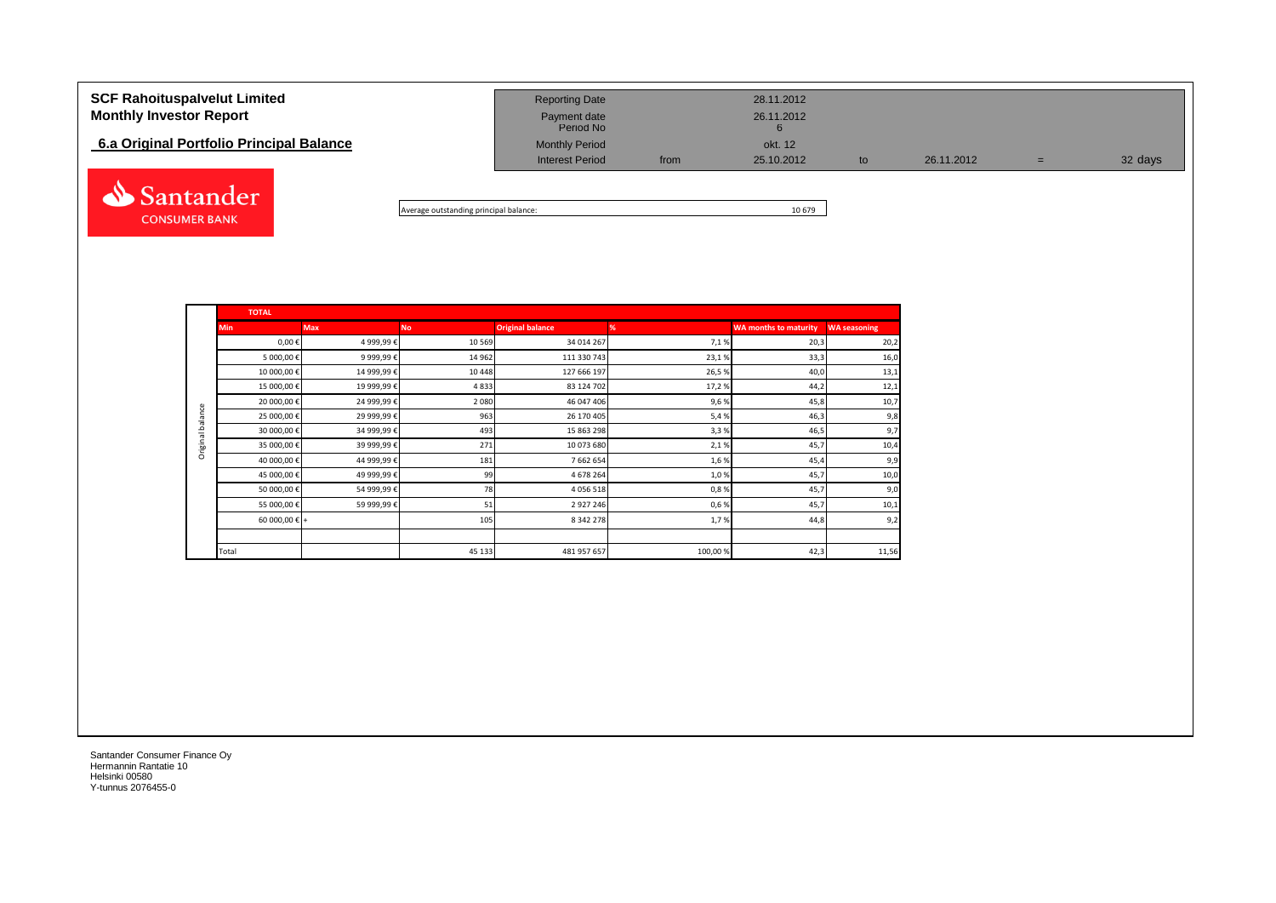| <b>SCF Rahoituspalvelut Limited</b><br><b>Monthly Investor Report</b><br>6.a Original Portfolio Principal Balance | <b>Reporting Date</b><br>Payment date<br>Period No<br><b>Monthly Period</b> |      | 28.11.2012<br>26.11.2012<br>okt. 12 |    |            |    |         |
|-------------------------------------------------------------------------------------------------------------------|-----------------------------------------------------------------------------|------|-------------------------------------|----|------------|----|---------|
|                                                                                                                   | <b>Interest Period</b>                                                      | from | 25.10.2012                          | to | 26.11.2012 | w. | 32 days |
| Santander                                                                                                         |                                                                             |      |                                     |    |            |    |         |

Average outstanding principal balance: 10 679

|                  | <b>TOTAL</b>           |             |           |                         |         |                              |                     |  |  |  |  |  |  |
|------------------|------------------------|-------------|-----------|-------------------------|---------|------------------------------|---------------------|--|--|--|--|--|--|
|                  | <b>Min</b>             | <b>Max</b>  | <b>No</b> | <b>Original balance</b> | %       | <b>WA months to maturity</b> | <b>WA seasoning</b> |  |  |  |  |  |  |
|                  | $0,00 \in$             | 4 999,99€   | 10 5 69   | 34 014 267              | 7,1%    | 20,3                         | 20,2                |  |  |  |  |  |  |
|                  | 5 000,00€              | 9 999,99€   | 14 962    | 111 330 743             | 23,1%   | 33,3                         | 16,0                |  |  |  |  |  |  |
|                  | 10 000,00€             | 14 999,99€  | 10 4 48   | 127 666 197             | 26,5%   | 40,0                         | 13,1                |  |  |  |  |  |  |
|                  | 15 000,00€             | 19 999,99€  | 4833      | 83 124 702              | 17,2%   | 44,2                         | 12,1                |  |  |  |  |  |  |
|                  | 20 000,00€             | 24 999,99€  | 2 0 8 0   | 46 047 406              | 9,6%    | 45,8                         | 10,7                |  |  |  |  |  |  |
| Original balance | 25 000,00€             | 29 999,99€  | 963       | 26 170 405              | 5,4%    | 46,3                         | 9,8                 |  |  |  |  |  |  |
|                  | 30 000,00 €            | 34 999,99 € | 493       | 15 863 298              | 3,3%    | 46,5                         | 9,7                 |  |  |  |  |  |  |
|                  | 35 000,00 €            | 39 999,99 € | 271       | 10 073 680              | 2,1%    | 45,7                         | 10,4                |  |  |  |  |  |  |
|                  | 40 000,00 €            | 44 999,99€  | 181       | 7 662 654               | 1,6%    | 45,4                         | 9,9                 |  |  |  |  |  |  |
|                  | 45 000,00€             | 49 999,99€  | 99        | 4 678 264               | 1,0%    | 45,7                         | 10,0                |  |  |  |  |  |  |
|                  | 50 000,00€             | 54 999,99€  | 78        | 4 0 5 6 5 1 8           | 0,8%    | 45,7                         | 9,0                 |  |  |  |  |  |  |
|                  | 55 000,00€             | 59 999,99 € | 51        | 2 9 2 7 2 4 6           | 0,6%    | 45,7                         | 10,1                |  |  |  |  |  |  |
|                  | 60 000,00 $\epsilon$ + |             | 105       | 8 3 4 2 2 7 8           | 1,7%    | 44,8                         | 9,2                 |  |  |  |  |  |  |
|                  |                        |             |           |                         |         |                              |                     |  |  |  |  |  |  |
|                  | Total                  |             | 45 133    | 481 957 657             | 100,00% | 42,3                         | 11,56               |  |  |  |  |  |  |

Santander Consumer Finance Oy Hermannin Rantatie 10 Helsinki 00580 Y-tunnus 2076455-0

**CONSUMER BANK**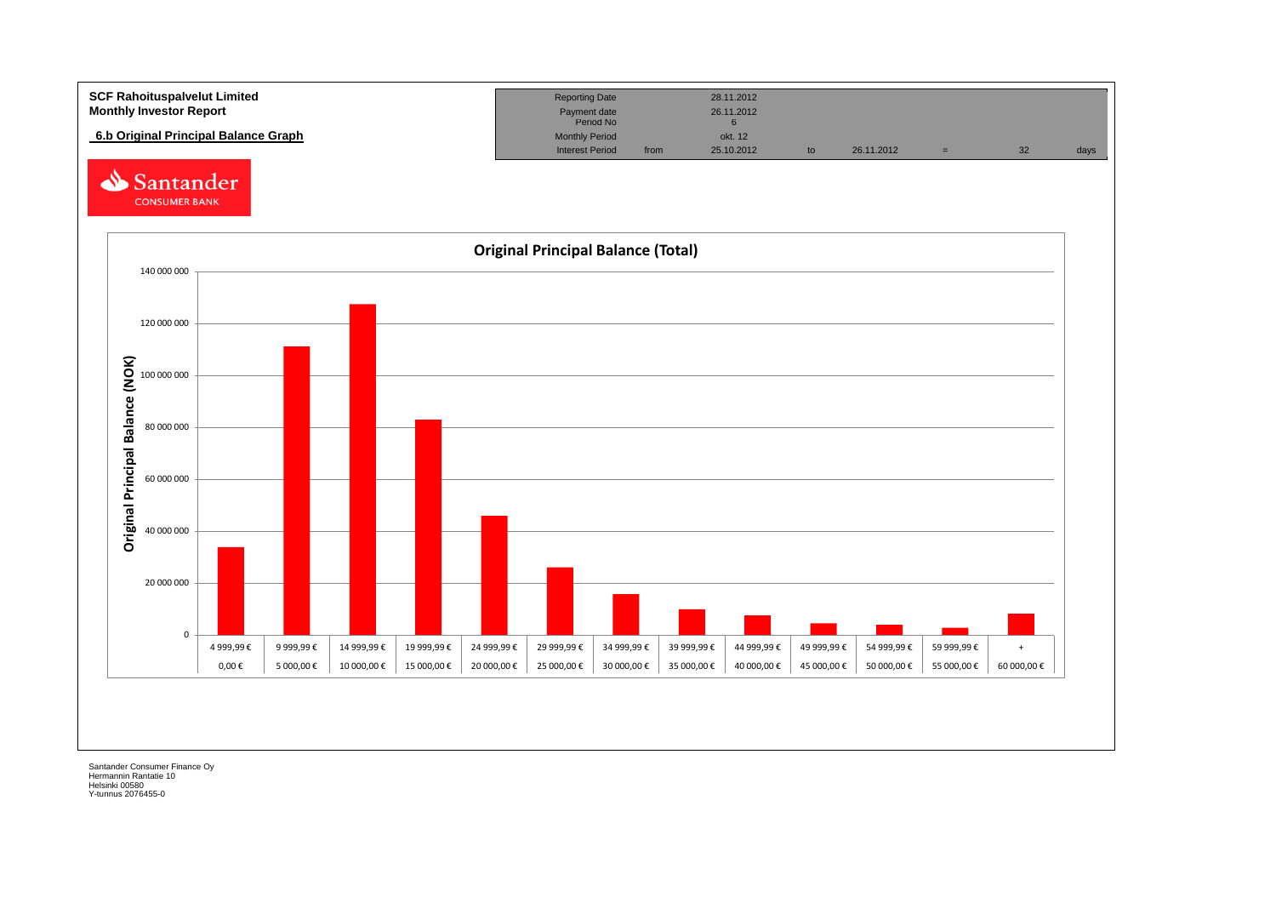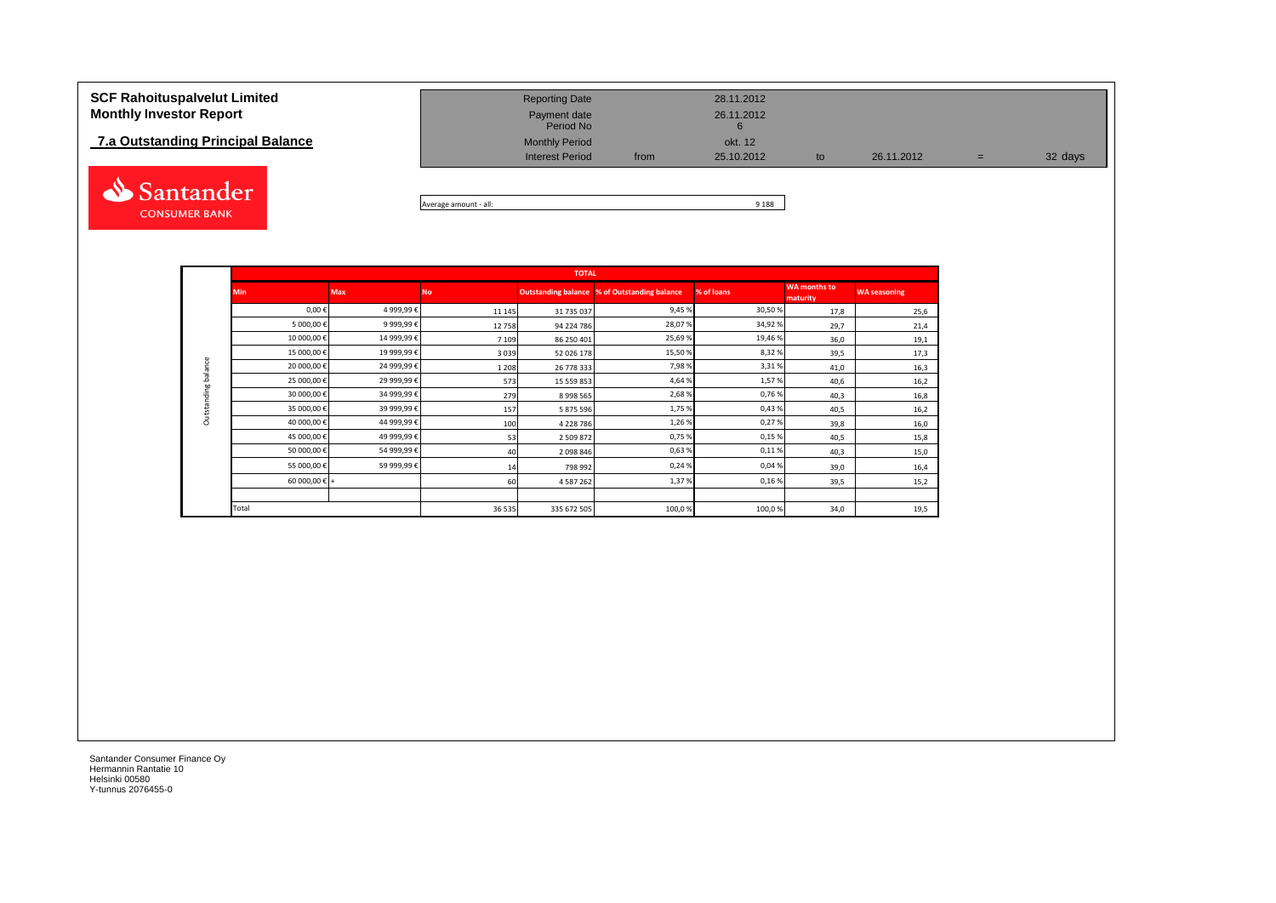## **7.a Outstanding Principal Balance**



| <b>SCF Rahoituspalvelut Limited</b><br><b>Monthly Investor Report</b> | <b>Reporting Date</b><br>Payment date<br>Period No |      | 28.11.2012<br>26.11.2012 |    |            |     |         |
|-----------------------------------------------------------------------|----------------------------------------------------|------|--------------------------|----|------------|-----|---------|
| 7.a Outstanding Principal Balance                                     | <b>Monthly Period</b>                              |      | okt. 12                  |    |            |     |         |
|                                                                       | <b>Interest Period</b>                             | from | 25.10.2012               | to | 26.11.2012 | $=$ | 32 days |
|                                                                       |                                                    |      |                          |    |            |     |         |

Average amount - all: 9 188

|                     |               |            |           | <b>TOTAL</b>  |                                              |            |                                 |                     |
|---------------------|---------------|------------|-----------|---------------|----------------------------------------------|------------|---------------------------------|---------------------|
|                     | <b>Min</b>    | <b>Max</b> | <b>No</b> |               | Outstanding balance % of Outstanding balance | % of loans | <b>WA months to</b><br>maturity | <b>WA seasoning</b> |
|                     | $0,00 \in$    | 4 999,99€  | 11 1 45   | 31 735 037    | 9,45%                                        | 30,50%     | 17,8                            | 25,6                |
|                     | 5 000,00€     | 9 999,99€  | 12758     | 94 224 786    | 28,07%                                       | 34,92%     | 29,7                            | 21,4                |
|                     | 10 000,00€    | 14 999,99€ | 7 1 0 9   | 86 250 401    | 25,69%                                       | 19,46%     | 36,0                            | 19,1                |
|                     | 15 000,00€    | 19 999,99€ | 3039      | 52 026 178    | 15,50 %                                      | 8,32%      | 39,5                            | 17,3                |
|                     | 20 000,00 €   | 24 999,99€ | 1 2 0 8   | 26 778 333    | 7,98%                                        | 3,31%      | 41,0                            | 16,3                |
| Outstanding balance | 25 000,00€    | 29 999,99€ | 573       | 15 559 853    | 4,64%                                        | 1,57%      | 40,6                            | 16,2                |
|                     | 30 000,00€    | 34 999,99€ | 279       | 8 9 9 5 5 6 5 | 2,68%                                        | 0,76%      | 40,3                            | 16,8                |
|                     | 35 000,00€    | 39 999,99€ | 157       | 5 875 596     | 1,75%                                        | 0,43%      | 40,5                            | 16,2                |
|                     | 40 000,00€    | 44 999,99€ | 100       | 4 228 786     | 1,26%                                        | 0,27%      | 39,8                            | 16,0                |
|                     | 45 000,00€    | 49 999,99€ | 53        | 2 509 872     | 0,75%                                        | 0,15%      | 40,5                            | 15,8                |
|                     | 50 000,00€    | 54 999,99€ | 40        | 2 098 846     | 0,63%                                        | 0,11%      | 40,3                            | 15,0                |
|                     | 55 000,00€    | 59 999,99€ | 14        | 798 992       | 0,24%                                        | 0,04%      | 39,0                            | 16,4                |
|                     | 60 000,00 € + |            | 60        | 4 587 262     | 1,37%                                        | 0,16%      | 39,5                            | 15,2                |
|                     |               |            |           |               |                                              |            |                                 |                     |
|                     | Total         |            | 36 5 35   | 335 672 505   | 100,0%                                       | 100,0%     | 34,0                            | 19,5                |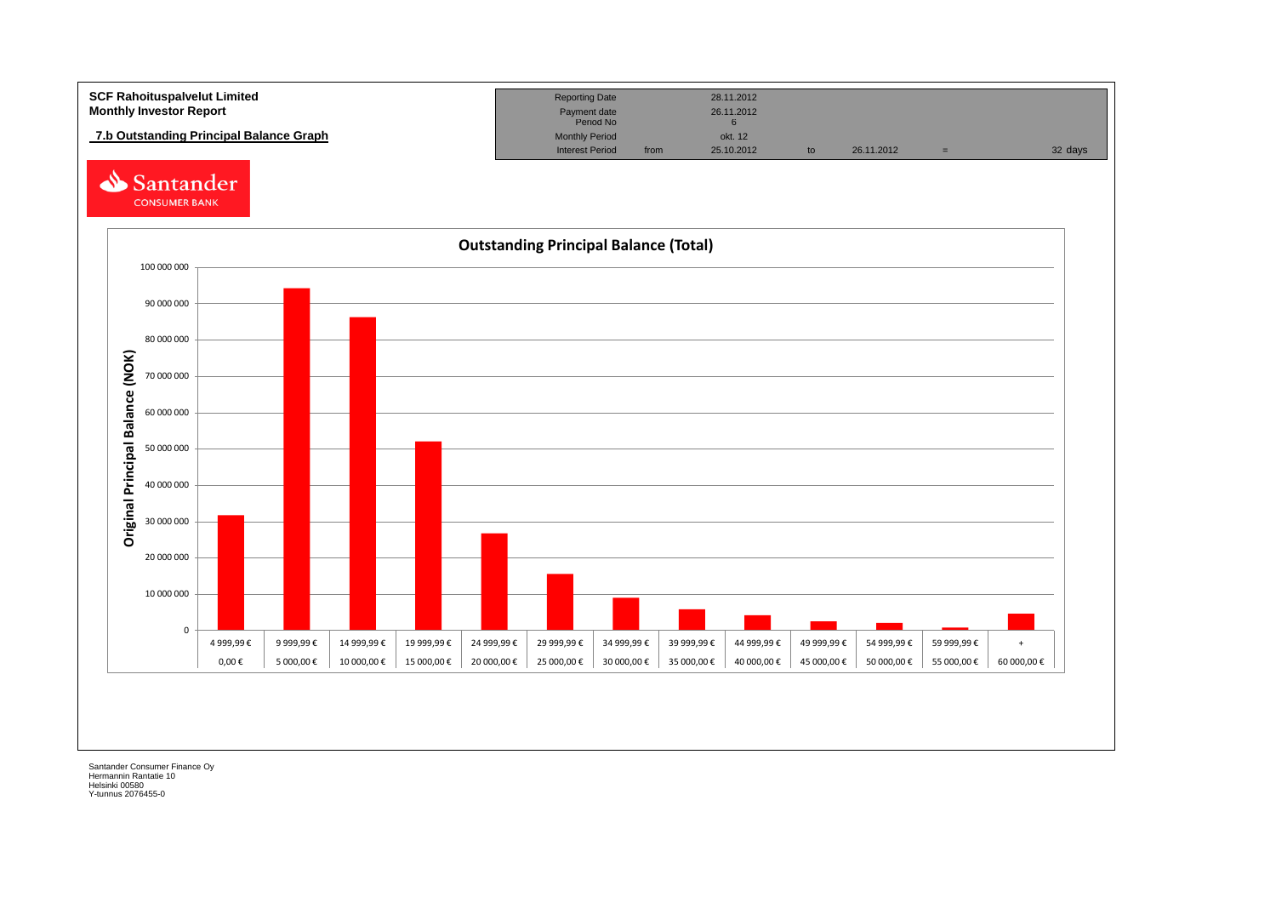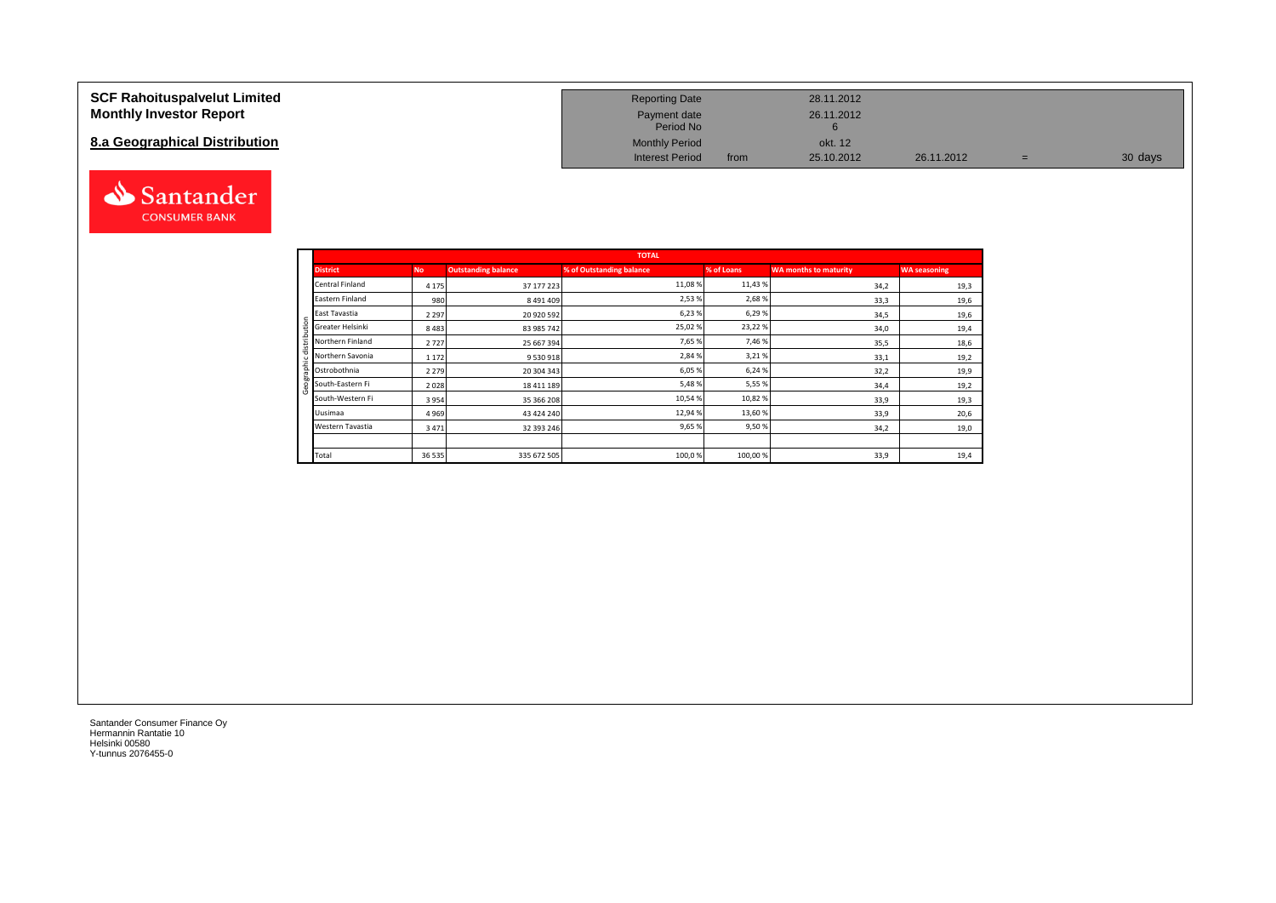#### **SCF Rahoituspalvelut Limited Monthly Investor Report**

## **8.a Geographical Distribution**



| <b>Reporting Date</b>     |      | 28.11.2012 |            |   |         |
|---------------------------|------|------------|------------|---|---------|
| Payment date<br>Period No |      | 26.11.2012 |            |   |         |
| <b>Monthly Period</b>     |      | okt. 12    |            |   |         |
| <b>Interest Period</b>    | from | 25.10.2012 | 26.11.2012 | = | 30 days |

|                       |           |                            | <b>TOTAL</b>             |            |                              |                     |
|-----------------------|-----------|----------------------------|--------------------------|------------|------------------------------|---------------------|
| <b>District</b>       | <b>No</b> | <b>Outstanding balance</b> | % of Outstanding balance | % of Loans | <b>WA months to maturity</b> | <b>WA seasoning</b> |
| Central Finland       | 4 1 7 5   | 37 177 223                 | 11,08 %                  | 11,43%     | 34,2                         | 19,3                |
| Eastern Finland       | 980       | 8 491 409                  | 2,53 %                   | 2,68%      | 33,3                         | 19,6                |
| East Tavastia         | 2 2 9 7   | 20 920 592                 | 6,23%                    | 6,29%      | 34,5                         | 19,6                |
| Greater Helsinki<br>ŝ | 8483      | 83 985 742                 | 25,02%                   | 23,22%     | 34,0                         | 19,4                |
| Northern Finland      | 2727      | 25 667 394                 | 7,65 %                   | 7,46%      | 35,5                         | 18,6                |
| Northern Savonia      | 1 1 7 2   | 9 530 918                  | 2,84 %                   | 3,21%      | 33,1                         | 19,2                |
| 횸<br>Ostrobothnia     | 2 2 7 9   | 20 304 343                 | 6,05 %                   | 6,24 %     | 32,2                         | 19,9                |
| South-Eastern Fi      | 2028      | 18 411 189                 | 5,48%                    | 5,55 %     | 34,4                         | 19,2                |
| South-Western Fi      | 3954      | 35 366 208                 | 10,54 %                  | 10,82%     | 33,9                         | 19,3                |
| Uusimaa               | 4969      | 43 424 240                 | 12,94 %                  | 13,60%     | 33,9                         | 20,6                |
| Western Tavastia      | 3471      | 32 393 246                 | 9,65%                    | 9,50%      | 34,2                         | 19,0                |
|                       |           |                            |                          |            |                              |                     |
| Total                 | 36 535    | 335 672 505                | 100,0%                   | 100,00%    | 33,9                         | 19,4                |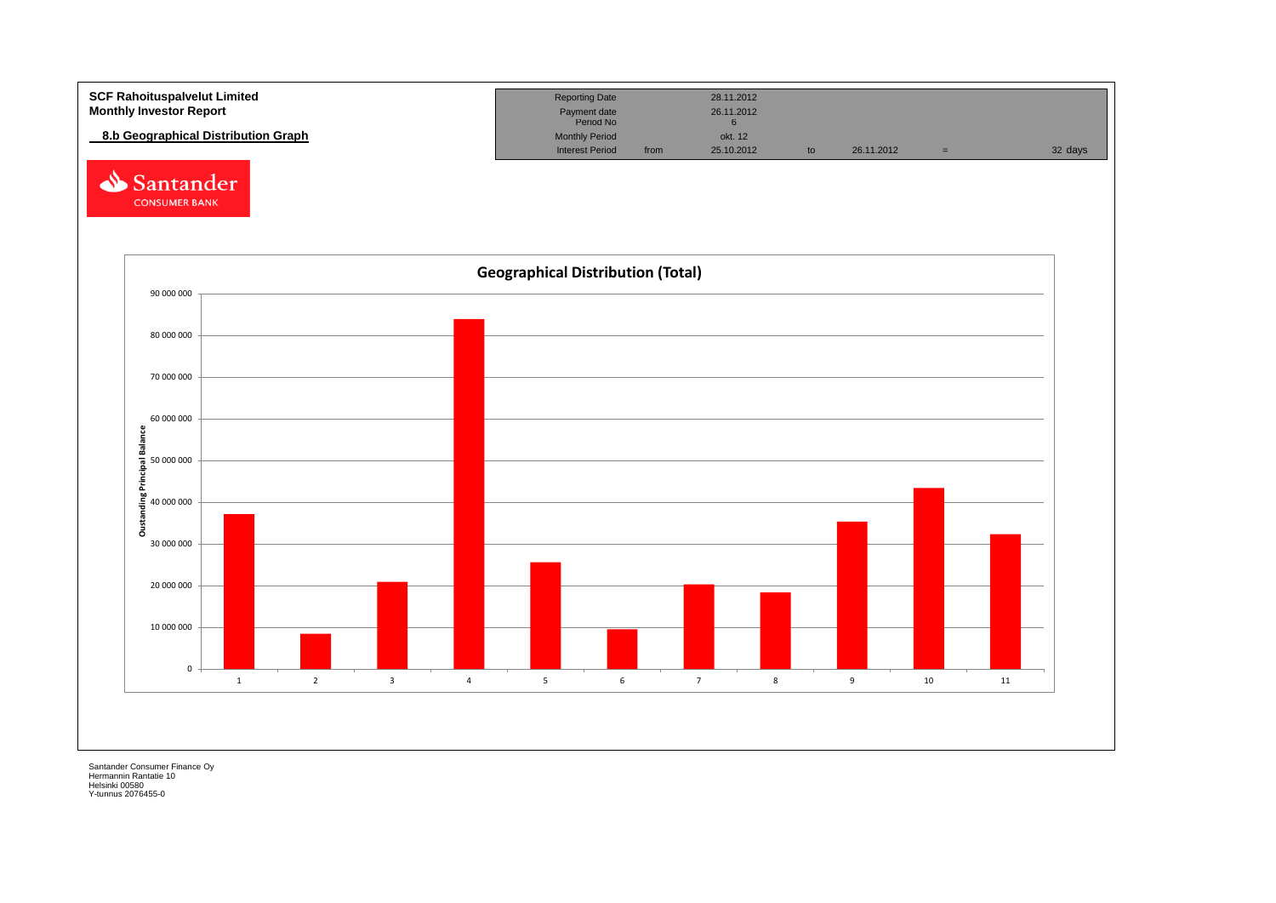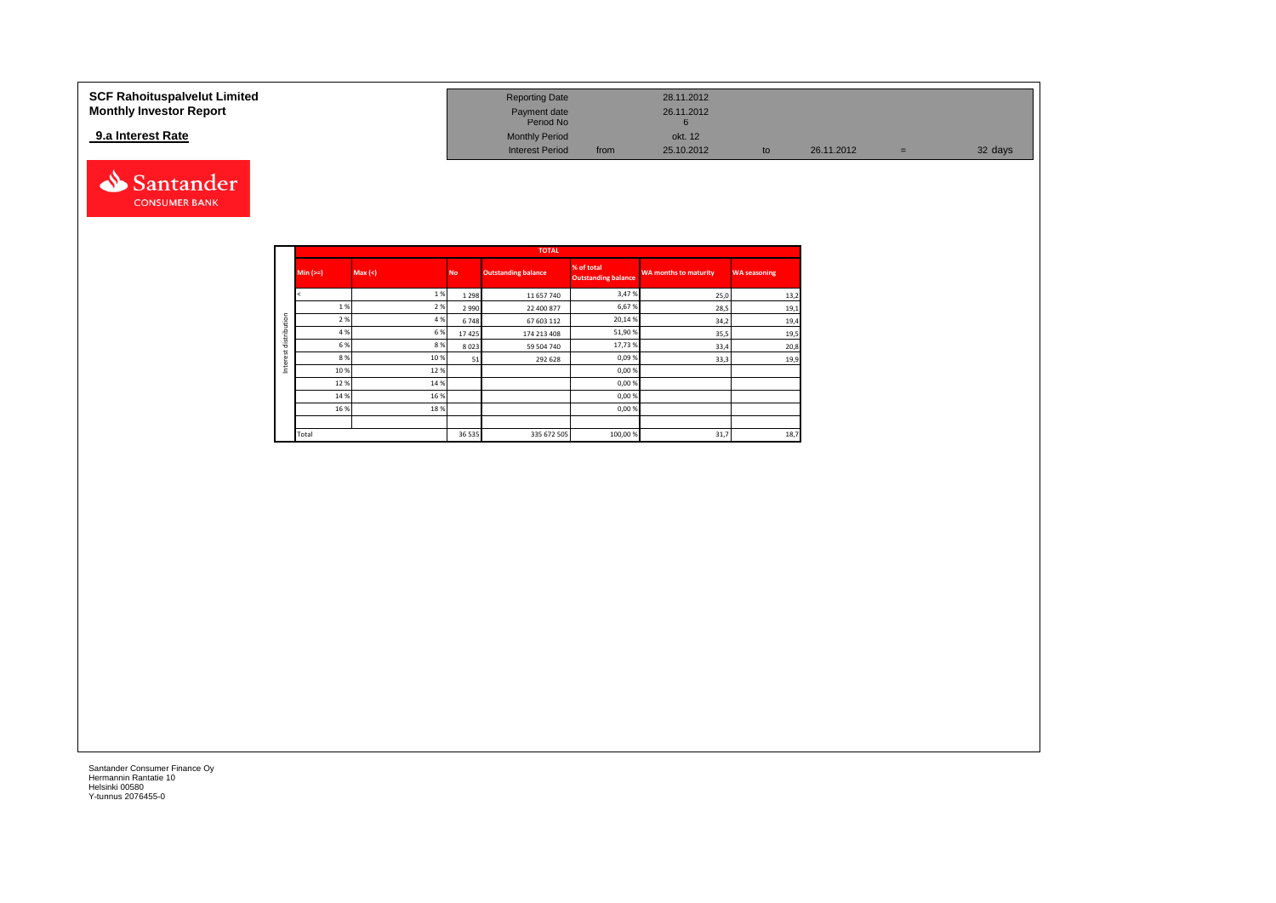| SCF Rahoituspalvelut Limited   | <b>Reporting Date</b>     |      | 28.11.2012 |    |            |     |         |
|--------------------------------|---------------------------|------|------------|----|------------|-----|---------|
| <b>Monthly Investor Report</b> | Payment date<br>Period No |      | 26.11.2012 |    |            |     |         |
| 9.a Interest Rate              | <b>Monthly Period</b>     |      | okt. 12    |    |            |     |         |
|                                | <b>Interest Period</b>    | from | 25.10.2012 | tc | 26.11.2012 | $=$ | 32 days |



|              |            |         |           | <b>TOTAL</b>               |                                          |                              |                     |
|--------------|------------|---------|-----------|----------------------------|------------------------------------------|------------------------------|---------------------|
|              | $Min (>=)$ | Max (<) | <b>No</b> | <b>Outstanding balance</b> | % of total<br><b>Outstanding balance</b> | <b>WA months to maturity</b> | <b>WA seasoning</b> |
|              |            | 1%      | 1 2 9 8   | 11 657 740                 | 3,47%                                    | 25,0                         | 13,2                |
|              | 1%         | 2%      | 2 9 9 0   | 22 400 877                 | 6,67%                                    | 28,5                         | 19,1                |
|              | 2 %        | 4 %     | 6748      | 67 603 112                 | 20,14%                                   | 34,2                         | 19,4                |
| distribution | 4 %        | 6%      | 17425     | 174 213 408                | 51,90%                                   | 35,5                         | 19,5                |
|              | 6 %        | 8%      | 8023      | 59 504 740                 | 17,73%                                   | 33,4                         | 20,8                |
|              | 8%         | 10%     | 51        | 292 628                    | 0,09%                                    | 33,3                         | 19,9                |
|              | 10 %       | 12%     |           |                            | 0,00%                                    |                              |                     |
|              | 12%        | 14 %    |           |                            | 0,00%                                    |                              |                     |
|              | 14 %       | 16 %    |           |                            | 0,00%                                    |                              |                     |
|              | 16 %       | 18%     |           |                            | 0,00%                                    |                              |                     |
|              |            |         |           |                            |                                          |                              |                     |
|              | Total      |         | 36 535    | 335 672 505                | 100,00%                                  | 31,7                         | 18,7                |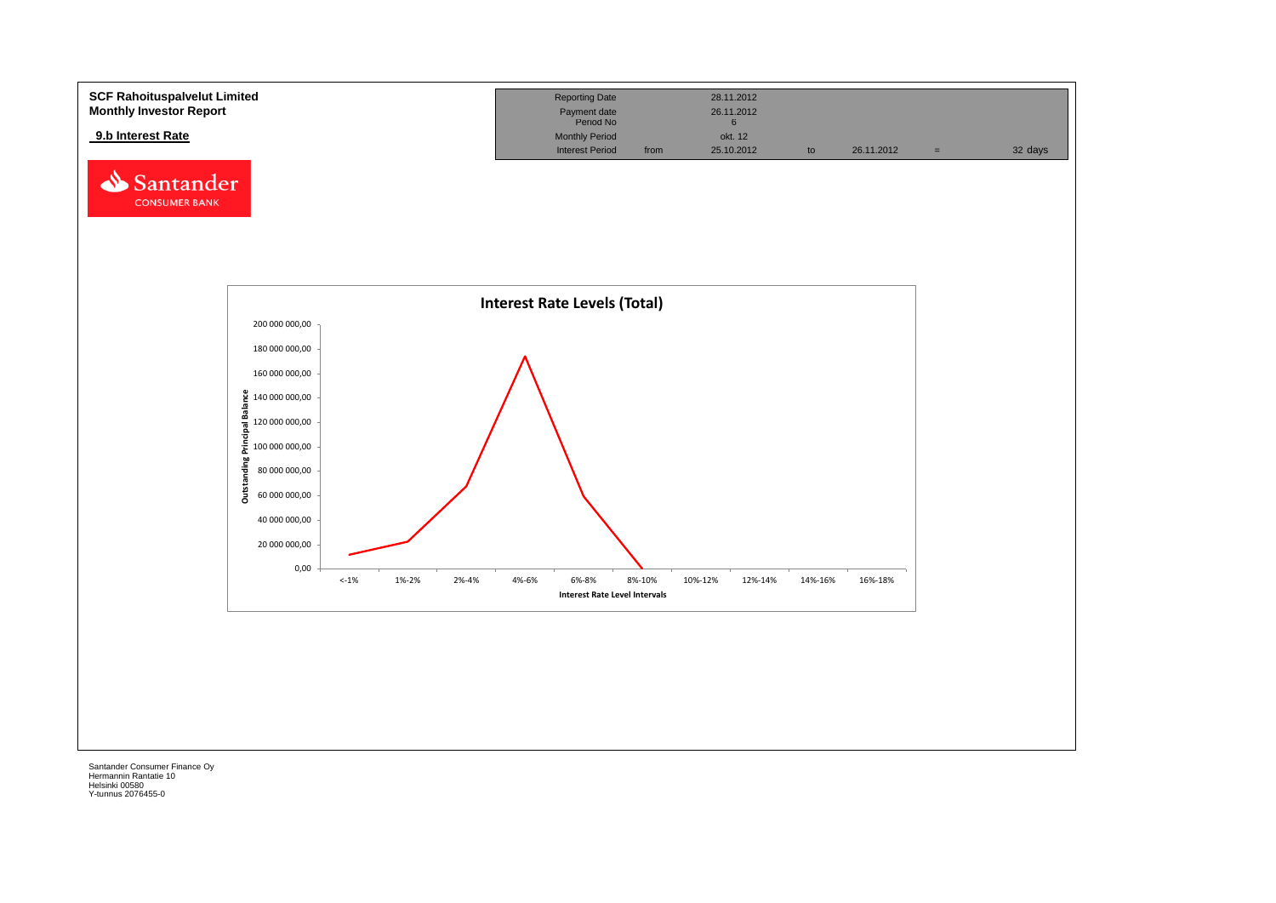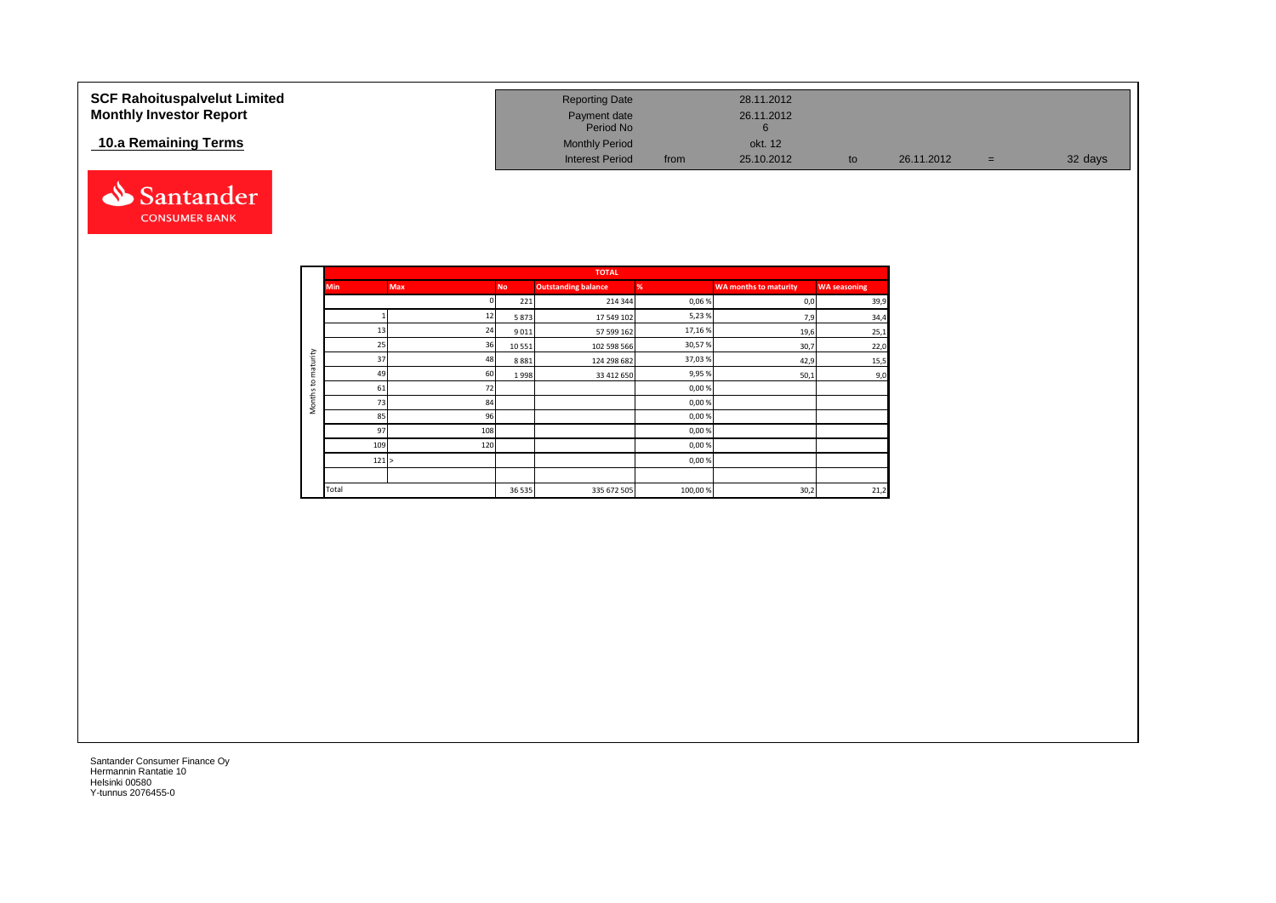| <b>SCF Rahoituspalvelut Limited</b><br><b>Monthly Investor Report</b> | <b>Reporting Date</b><br>Payment date<br>Period No |      | 28.11.2012<br>26.11.2012 |    |            |     |         |
|-----------------------------------------------------------------------|----------------------------------------------------|------|--------------------------|----|------------|-----|---------|
| 10.a Remaining Terms                                                  | <b>Monthly Period</b><br><b>Interest Period</b>    | from | okt. 12<br>25.10.2012    | to | 26.11.2012 | $=$ | 32 days |



|                     |            |            |           | <b>TOTAL</b>               |         |                              |                     |
|---------------------|------------|------------|-----------|----------------------------|---------|------------------------------|---------------------|
|                     | <b>Min</b> | <b>Max</b> | <b>No</b> | <b>Outstanding balance</b> | %       | <b>WA months to maturity</b> | <b>WA seasoning</b> |
|                     |            |            | 221       | 214 344                    | 0,06%   | 0,0                          | 39,9                |
|                     |            | 12         | 5873      | 17 549 102                 | 5,23%   | 7,9                          | 34,4                |
|                     | 13         | 24         | 9011      | 57 599 162                 | 17,16%  | 19,6                         | 25,1                |
|                     | 25         | 36         | 10 5 51   | 102 598 566                | 30,57%  | 30,7                         | 22,0                |
| maturity            | 37         | 48         | 8881      | 124 298 682                | 37,03%  | 42,9                         | 15,5                |
|                     | 49         | 60         | 1998      | 33 412 650                 | 9,95%   | 50,1                         | 9,0                 |
| 5                   | 61         | 72         |           |                            | 0,00%   |                              |                     |
| Months <sup>-</sup> | 73         | 84         |           |                            | 0,00%   |                              |                     |
|                     | 85         | 96         |           |                            | 0,00%   |                              |                     |
|                     | 97         | 108        |           |                            | 0,00%   |                              |                     |
|                     | 109        | 120        |           |                            | 0,00%   |                              |                     |
|                     | 121 >      |            |           |                            | 0,00%   |                              |                     |
|                     |            |            |           |                            |         |                              |                     |
|                     | Total      |            | 36 5 35   | 335 672 505                | 100,00% | 30,2                         | 21,2                |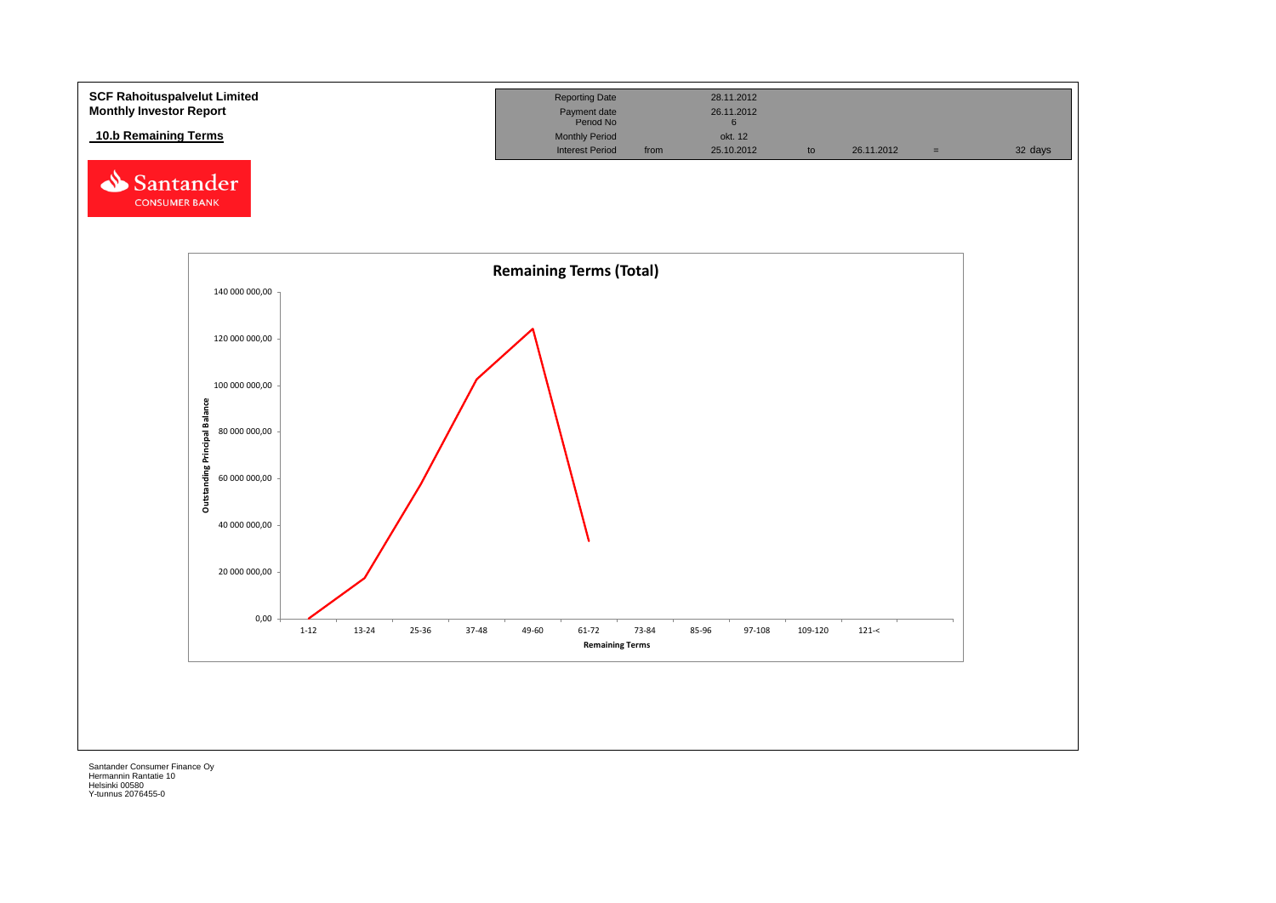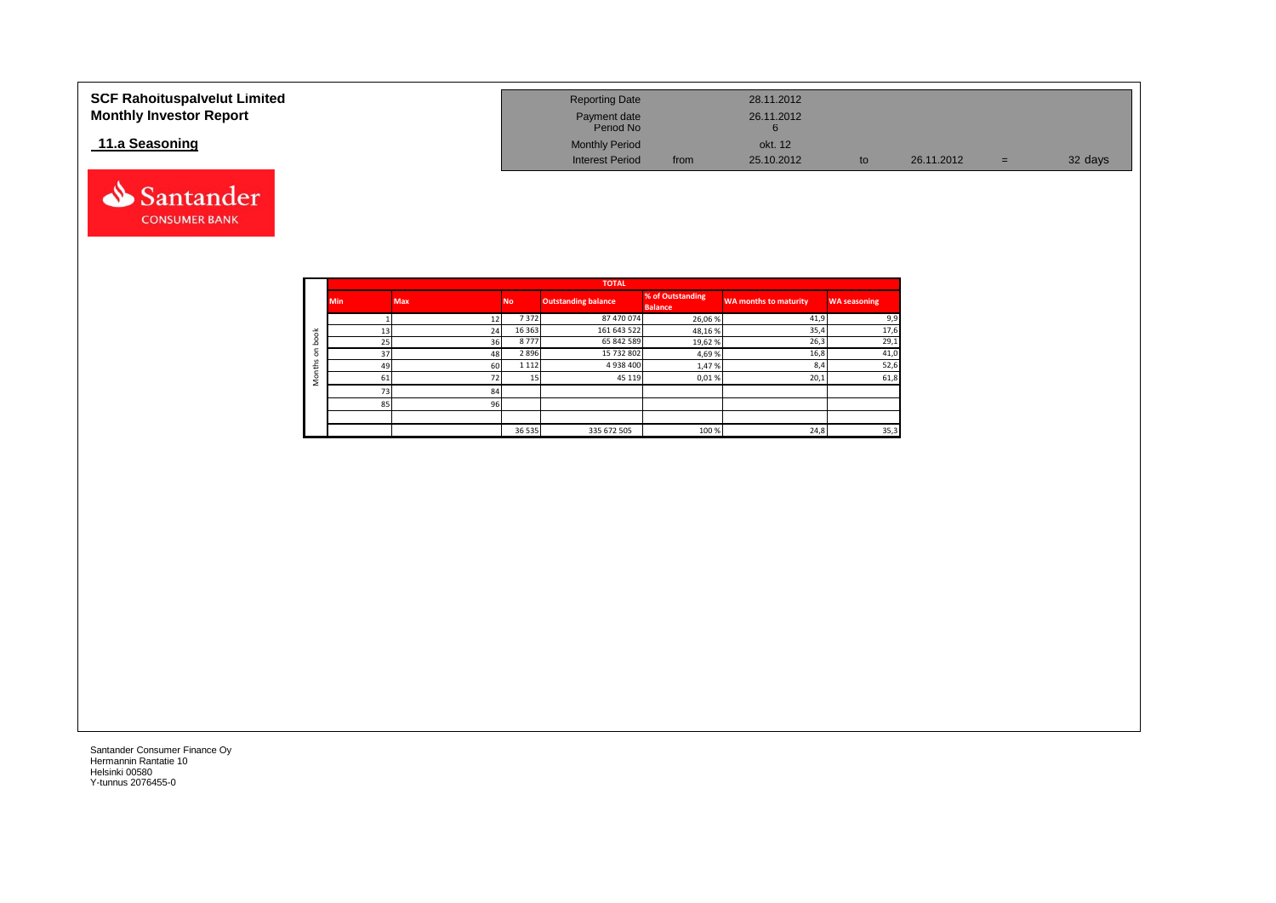| <b>SCF Rahoituspalvelut Limited</b><br><b>Monthly Investor Report</b> | <b>Reporting Date</b><br>Payment date<br>Period No |      | 28.11.2012<br>26.11.2012 |    |            |     |         |
|-----------------------------------------------------------------------|----------------------------------------------------|------|--------------------------|----|------------|-----|---------|
| 11.a Seasoning                                                        | <b>Monthly Period</b>                              |      | okt. 12                  |    |            |     |         |
|                                                                       | <b>Interest Period</b>                             | from | 25.10.2012               | to | 26.11.2012 | $=$ | 32 days |



|                                |            |            |           | <b>TOTAL</b>               |                                    |                       |                     |
|--------------------------------|------------|------------|-----------|----------------------------|------------------------------------|-----------------------|---------------------|
|                                | <b>Min</b> | <b>Max</b> | <b>No</b> | <b>Outstanding balance</b> | % of Outstanding<br><b>Balance</b> | WA months to maturity | <b>WA seasoning</b> |
|                                |            | 12         | 7372      | 87 470 074                 | 26,06%                             | 41,9                  | 9,9                 |
| 者                              | 13         | 24         | 16 3 63   | 161 643 522                | 48,16%                             | 35,4                  | 17,6                |
| c<br>ء                         | 25         | 36         | 8777      | 65 842 589                 | 19,62%                             | 26,3                  | 29,1                |
| $\blacksquare$<br>$\circ$<br>S | 37         | 48         | 2896      | 15 732 802                 | 4,69%                              | 16,8                  | 41,0                |
|                                | 49         | 60         | 1 1 1 2   | 4938400                    | 1,47%                              | 8,4                   | 52,6                |
|                                | 61         | 72         |           | 45 119                     | 0,01%                              | 20,1                  | 61,8                |
|                                | 731        | 84         |           |                            |                                    |                       |                     |
|                                | 85         | 96         |           |                            |                                    |                       |                     |
|                                |            |            |           |                            |                                    |                       |                     |
|                                |            |            | 36 535    | 335 672 505                | 100 %                              | 24,8                  | 35,3                |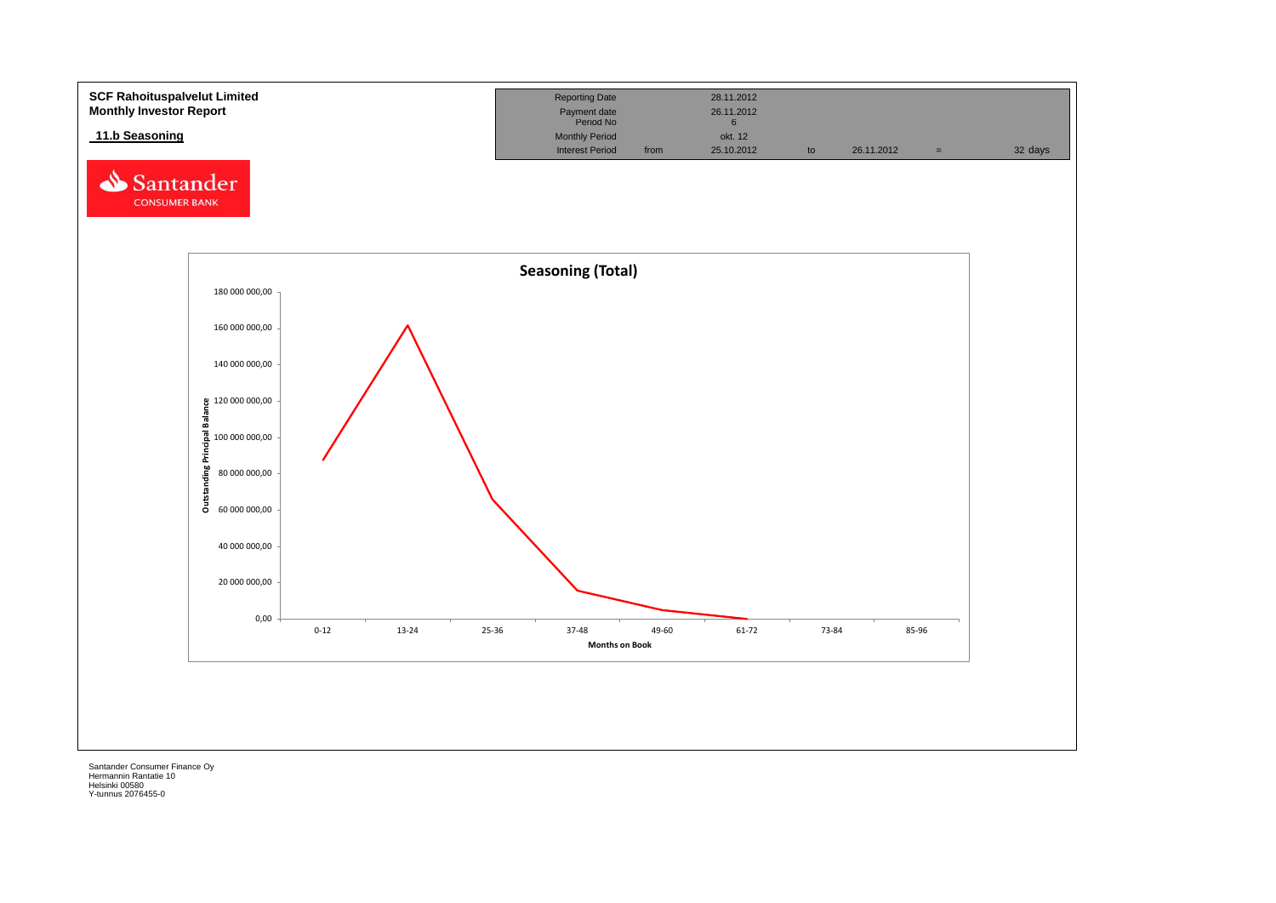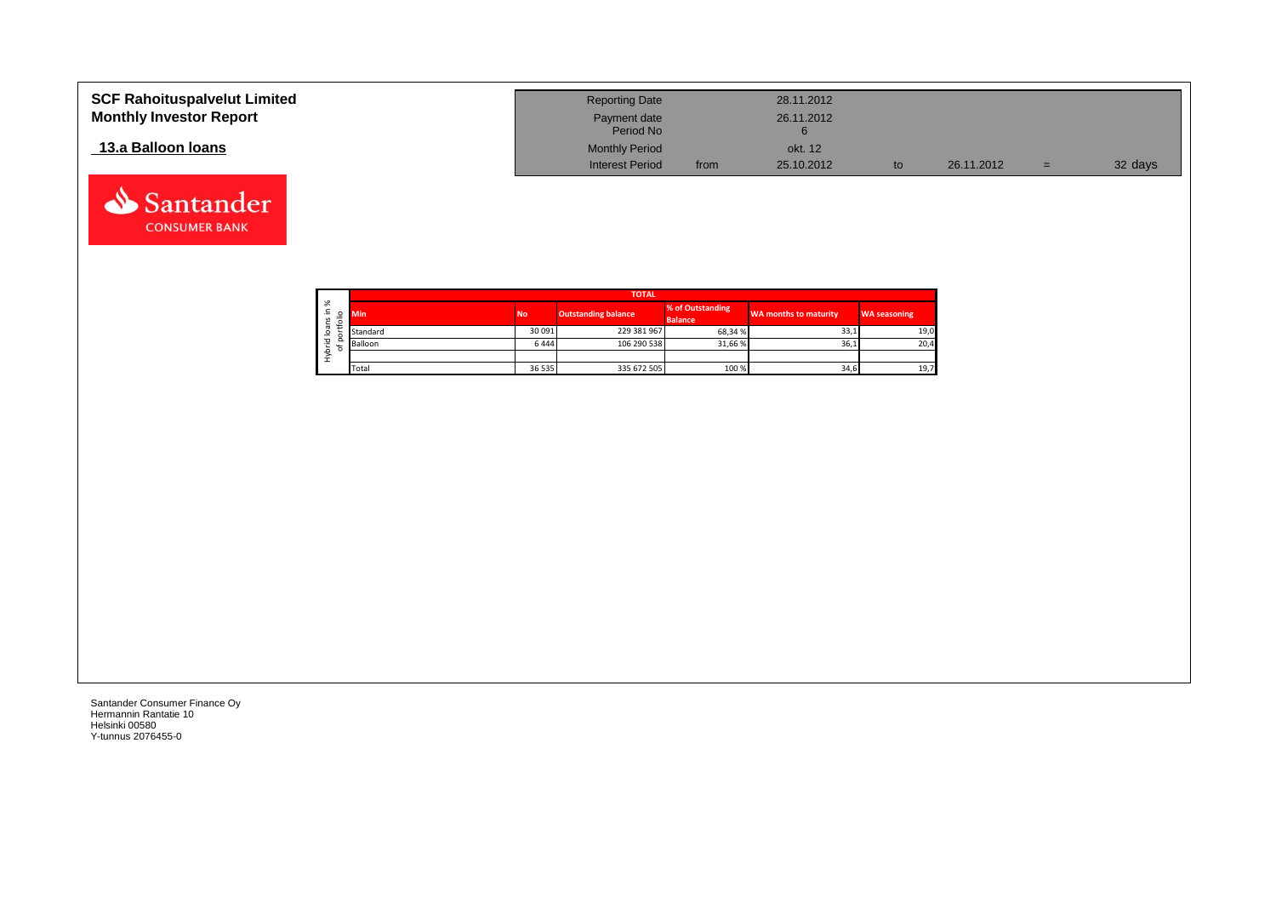| <b>SCF Rahoituspalvelut Limited</b><br><b>Monthly Investor Report</b> | <b>Reporting Date</b><br>Payment date<br>Period No |      | 28.11.2012<br>26.11.2012 |            |     |         |
|-----------------------------------------------------------------------|----------------------------------------------------|------|--------------------------|------------|-----|---------|
| 13.a Balloon Ioans                                                    | <b>Monthly Period</b>                              |      | okt. 12                  |            |     |         |
|                                                                       | <b>Interest Period</b>                             | from | 25.10.2012               | 26.11.2012 | $=$ | 32 days |

┑

|                   |        | <b>TOTAL</b> |           |                            |                                    |                       |                     |  |  |  |  |  |  |
|-------------------|--------|--------------|-----------|----------------------------|------------------------------------|-----------------------|---------------------|--|--|--|--|--|--|
| ৯<br>∸.<br>S<br>∽ | ۰      | <b>Min</b>   | <b>No</b> | <b>Outstanding balance</b> | % of Outstanding<br><b>Balance</b> | WA months to maturity | <b>WA seasoning</b> |  |  |  |  |  |  |
| ത<br>∘            |        | Standard     | 30 091    | 229 381 967                | 68.34%                             | 33,1                  | 19,0                |  |  |  |  |  |  |
| 은                 | o<br>۰ | Balloon      | 6444      | 106 290 538                | 31,66%                             | 36,1                  | 20,4                |  |  |  |  |  |  |
| ء<br>Σ            |        |              |           |                            |                                    |                       |                     |  |  |  |  |  |  |
|                   |        | Total        | 36 535    | 335 672 505                | 100 %                              | 34,6                  | 19,7                |  |  |  |  |  |  |

Santander Consumer Finance Oy Hermannin Rantatie 10 Helsinki 00580 Y-tunnus 2076455-0

Santander **CONSUMER BANK**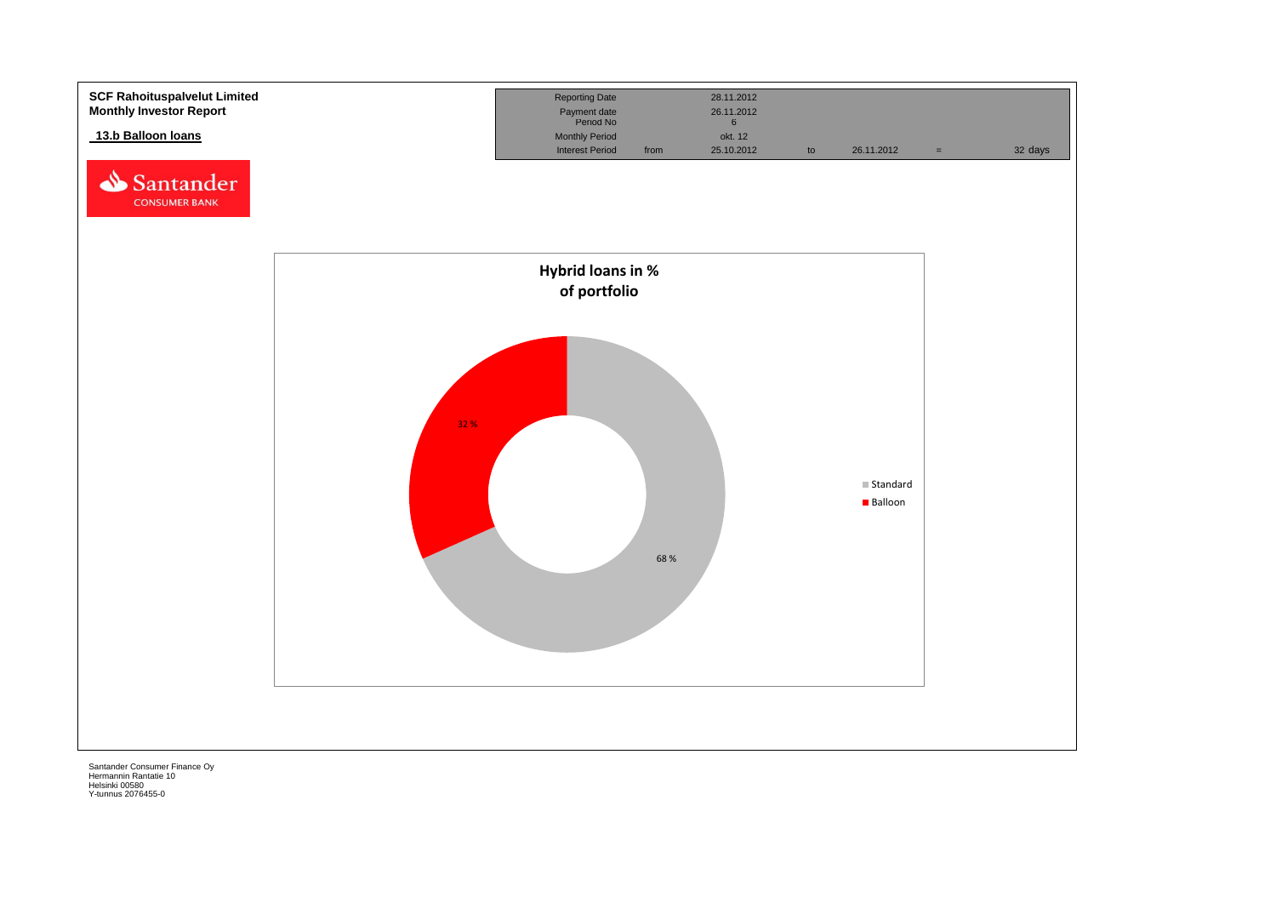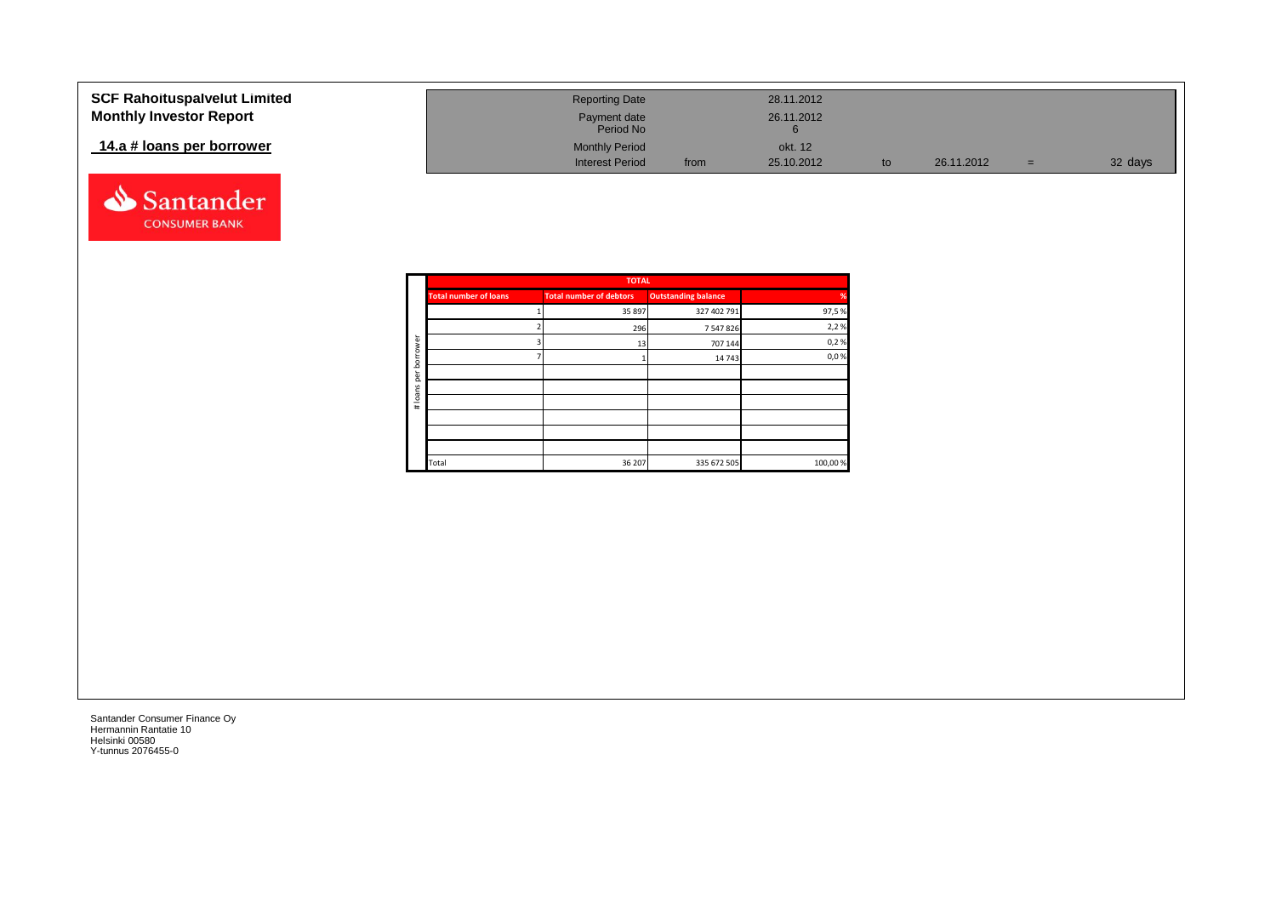| <b>SCF Rahoituspalvelut Limited</b> | <b>Reporting Date</b>  |      | 28.11.2012 |            |     |         |
|-------------------------------------|------------------------|------|------------|------------|-----|---------|
| <b>Monthly Investor Report</b>      | Payment date           |      | 26.11.2012 |            |     |         |
|                                     | Period No              |      |            |            |     |         |
| 14.a # loans per borrower           | <b>Monthly Period</b>  |      | okt. 12    |            |     |         |
|                                     | <b>Interest Period</b> | from | 25.10.2012 | 26.11.2012 | $=$ | 32 days |



|          |                              | <b>TOTAL</b>                   |                            |          |
|----------|------------------------------|--------------------------------|----------------------------|----------|
|          | <b>Total number of loans</b> | <b>Total number of debtors</b> | <b>Outstanding balance</b> | %        |
|          |                              | 35 897                         | 327 402 791                | 97,5%    |
|          |                              | 296                            | 7 547 826                  | 2,2%     |
| ৯<br>row |                              | 13                             | 707 144                    | 0,2%     |
| bor      |                              |                                | 14 743                     | 0,0%     |
| per      |                              |                                |                            |          |
|          |                              |                                |                            |          |
| #loans   |                              |                                |                            |          |
|          |                              |                                |                            |          |
|          |                              |                                |                            |          |
|          |                              |                                |                            |          |
|          | Total                        | 36 207                         | 335 672 505                | 100,00 % |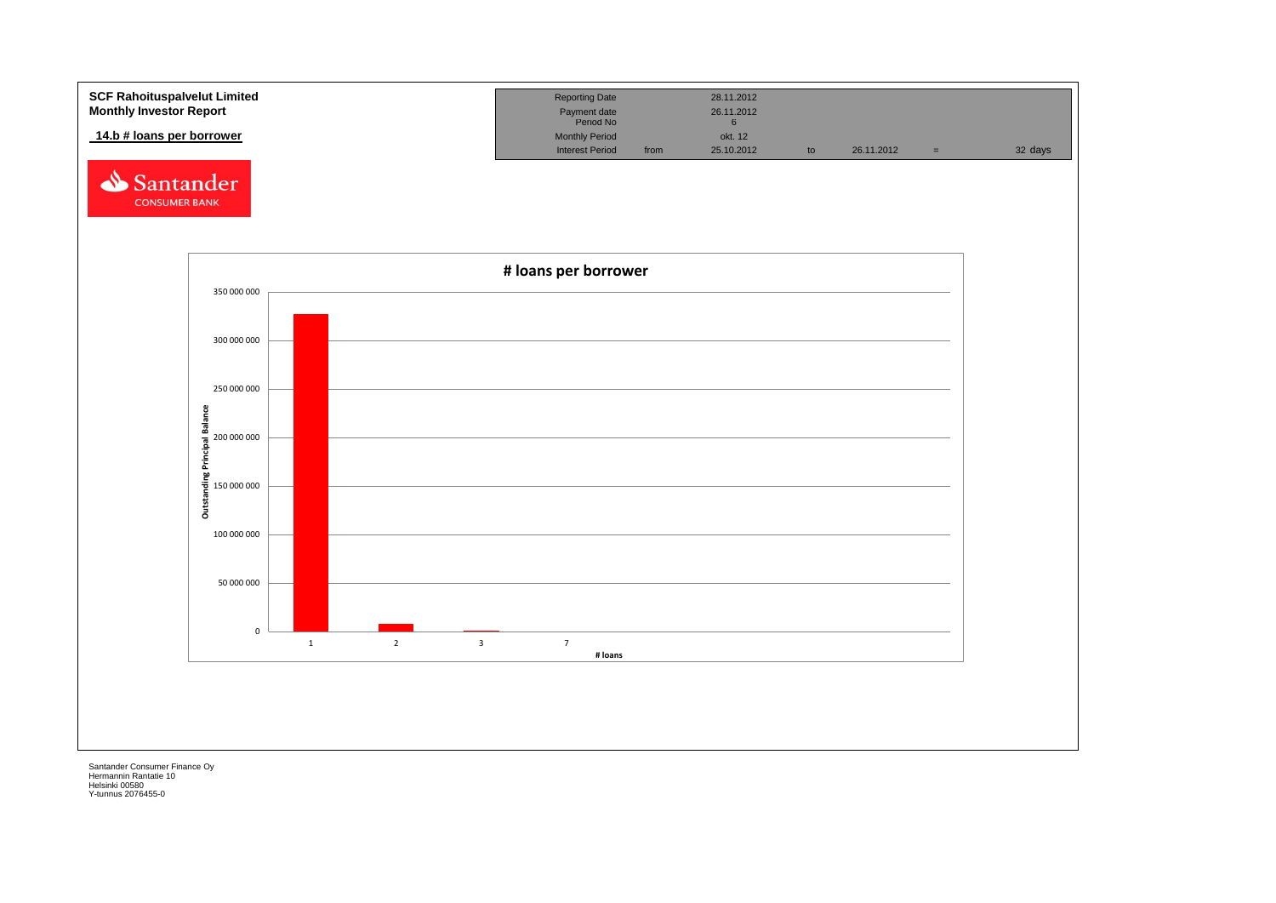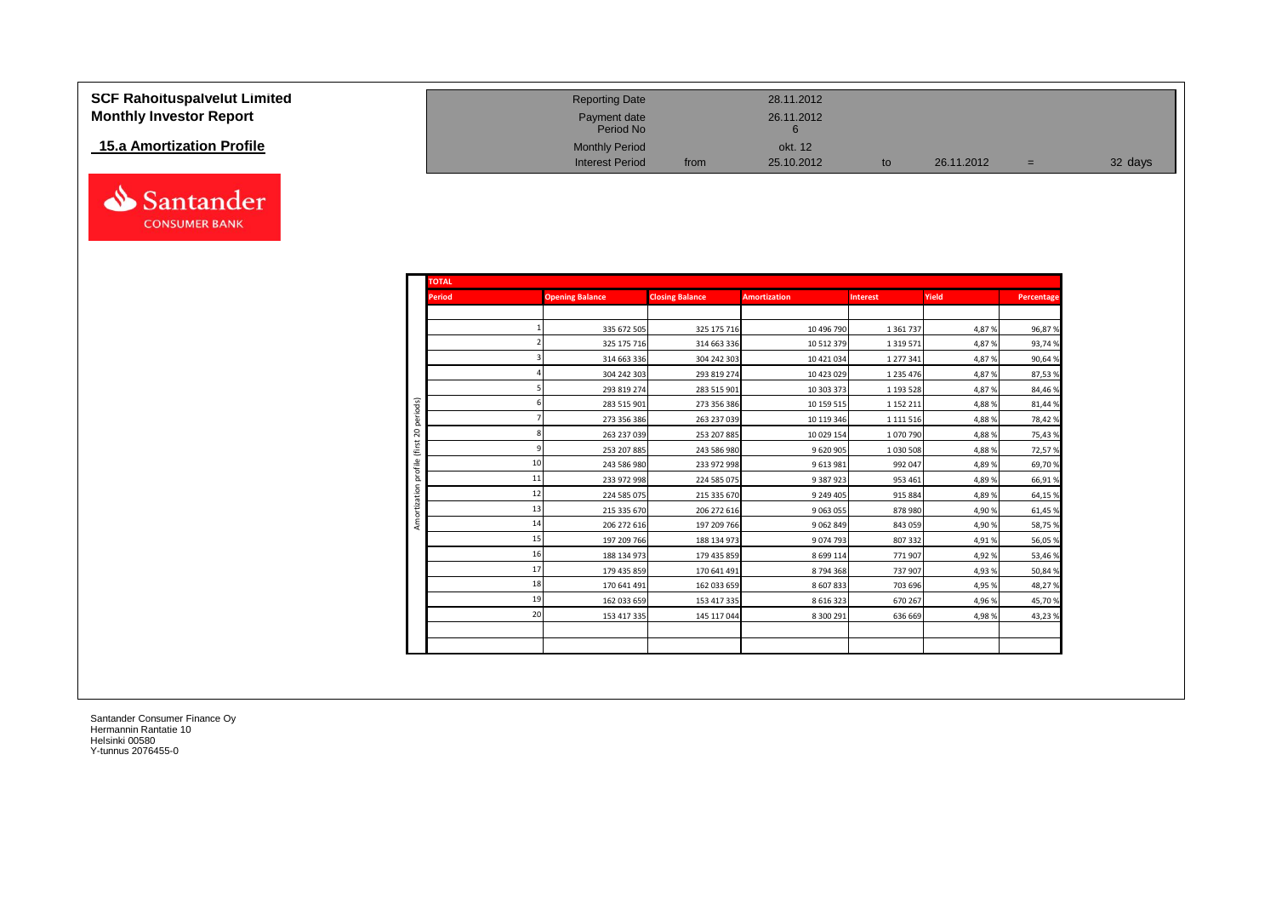| SCF Rahoituspalvelut Limited<br><b>Monthly Investor Report</b> | <b>Reporting Date</b><br>Payment date<br>Period No |      | 28.11.2012<br>26.11.2012 |            |     |         |
|----------------------------------------------------------------|----------------------------------------------------|------|--------------------------|------------|-----|---------|
| 15.a Amortization Profile                                      | <b>Monthly Period</b><br><b>Interest Period</b>    | from | okt. 12<br>25.10.2012    | 26.11.2012 | $=$ | 32 days |

| <b>TOTAL</b>  |    |                        |                        |                     |                 |        |            |
|---------------|----|------------------------|------------------------|---------------------|-----------------|--------|------------|
| <b>Period</b> |    | <b>Opening Balance</b> | <b>Closing Balance</b> | <b>Amortization</b> | <b>Interest</b> | Yield  | Percentage |
|               |    |                        |                        |                     |                 |        |            |
|               |    | 335 672 505            | 325 175 716            | 10 496 790          | 1 3 6 1 7 3 7   | 4,87%  | 96,87%     |
|               |    | 325 175 716            | 314 663 336            | 10 512 379          | 1 3 1 9 5 7 1   | 4,87%  | 93,74%     |
|               |    | 314 663 336            | 304 242 303            | 10 421 034          | 1 277 341       | 4,87%  | 90,64%     |
|               |    | 304 242 303            | 293 819 274            | 10 423 029          | 1 2 3 5 4 7 6   | 4,87%  | 87,53%     |
|               |    | 293 819 274            | 283 515 901            | 10 303 373          | 1 193 5 28      | 4,87%  | 84,46%     |
| periods)      |    | 283 515 901            | 273 356 386            | 10 159 515          | 1 152 211       | 4,88%  | 81,44%     |
|               |    | 273 356 386            | 263 237 039            | 10 119 346          | 1 1 1 1 5 1 6   | 4,88%  | 78,42%     |
|               |    | 263 237 039            | 253 207 885            | 10 029 154          | 1070790         | 4,88%  | 75,43%     |
|               |    | 253 207 885            | 243 586 980            | 9 620 905           | 1 0 3 0 5 0 8   | 4,88%  | 72,57%     |
|               | 10 | 243 586 980            | 233 972 998            | 9613981             | 992 047         | 4,89%  | 69,70%     |
|               | 11 | 233 972 998            | 224 585 075            | 9 387 923           | 953 461         | 4,89%  | 66,91%     |
|               | 12 | 224 585 075            | 215 335 670            | 9 249 405           | 915 884         | 4,89%  | 64,15%     |
| Amortization  | 13 | 215 335 670            | 206 272 616            | 9 0 63 0 55         | 878 980         | 4,90%  | 61,45%     |
|               | 14 | 206 272 616            | 197 209 766            | 9062849             | 843 059         | 4,90%  | 58,75%     |
|               | 15 | 197 209 766            | 188 134 973            | 9074793             | 807 332         | 4,91%  | 56,05%     |
|               | 16 | 188 134 973            | 179 435 859            | 8 6 9 1 1 1 4       | 771 907         | 4,92%  | 53,46%     |
|               | 17 | 179 435 859            | 170 641 491            | 8794368             | 737 907         | 4,93%  | 50,84%     |
|               | 18 | 170 641 491            | 162 033 659            | 8 607 833           | 703 696         | 4,95 % | 48,27%     |
|               | 19 | 162 033 659            | 153 417 335            | 8 6 1 6 3 2 3       | 670 267         | 4,96%  | 45,70%     |
|               | 20 | 153 417 335            | 145 117 044            | 8 300 291           | 636 669         | 4,98%  | 43,23%     |
|               |    |                        |                        |                     |                 |        |            |
|               |    |                        |                        |                     |                 |        |            |

Santander **CONSUMER BANK**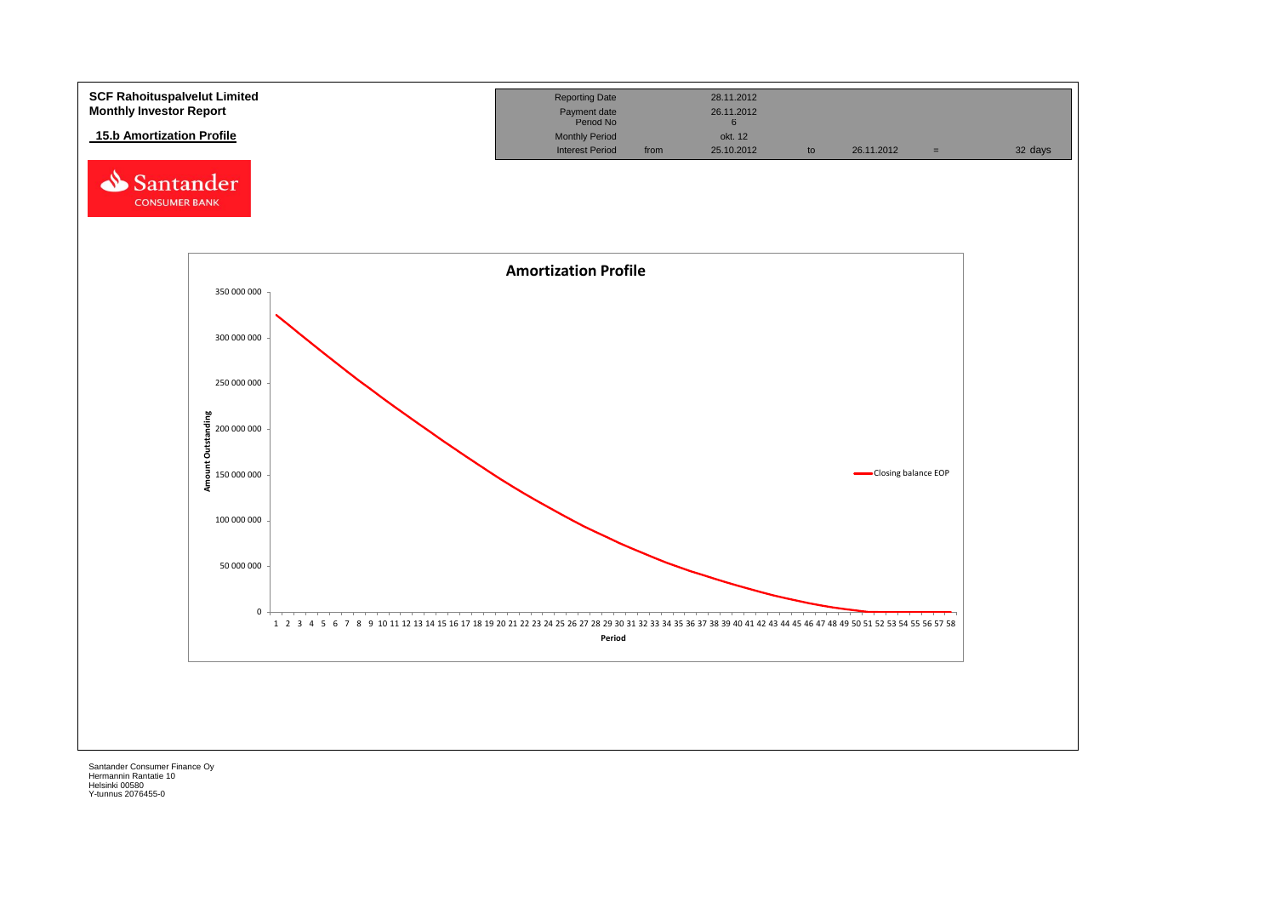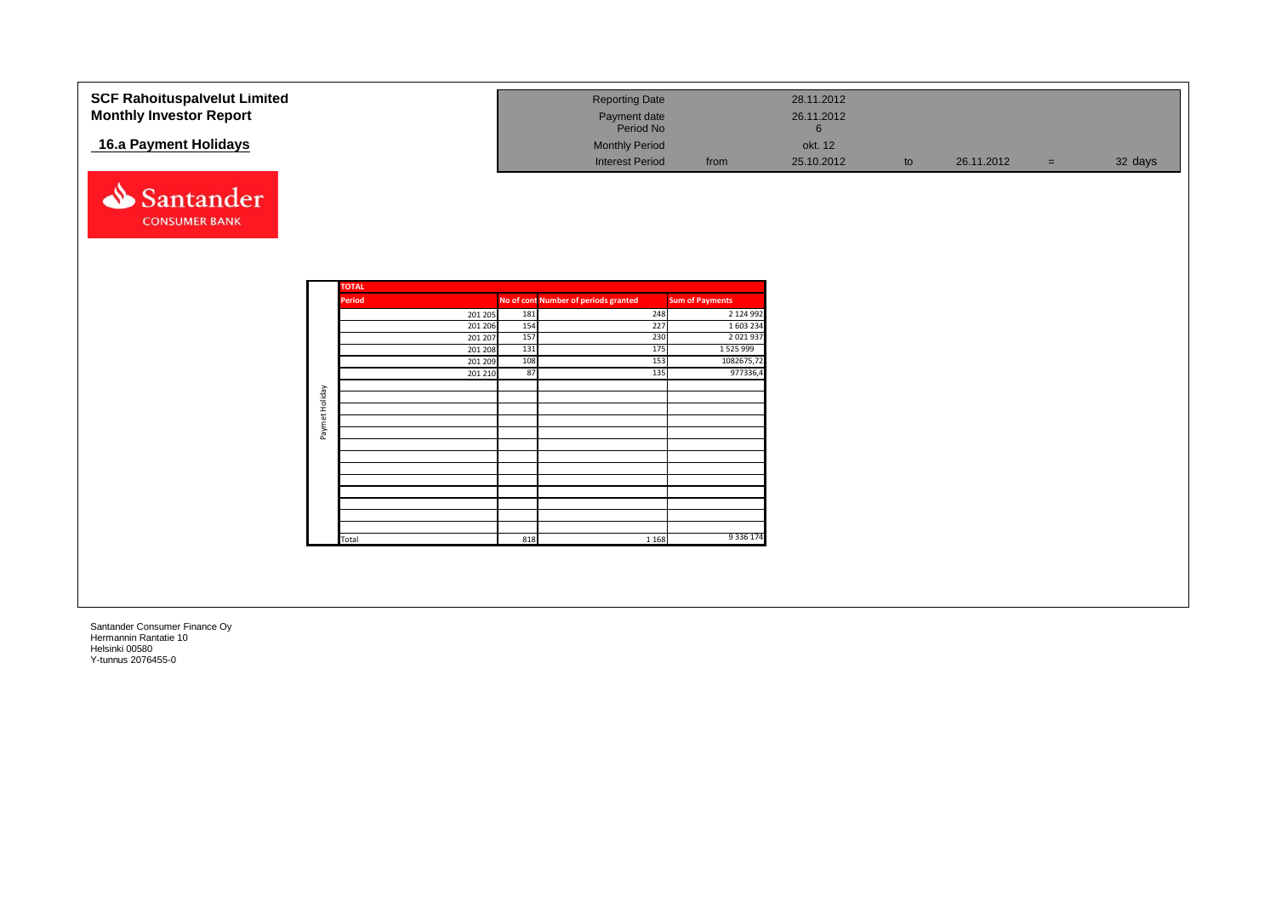| <b>SCF Rahoituspalvelut Limited</b><br><b>Monthly Investor Report</b> |                |                               |     | <b>Reporting Date</b><br>Payment date                        |                        | 28.11.2012<br>26.11.2012   |    |            |     |         |
|-----------------------------------------------------------------------|----------------|-------------------------------|-----|--------------------------------------------------------------|------------------------|----------------------------|----|------------|-----|---------|
| 16.a Payment Holidays                                                 |                |                               |     | Period No<br><b>Monthly Period</b><br><b>Interest Period</b> | from                   | 6<br>okt. 12<br>25.10.2012 | to | 26.11.2012 | $=$ | 32 days |
| Santander<br><b>CONSUMER BANK</b>                                     |                |                               |     |                                                              |                        |                            |    |            |     |         |
|                                                                       |                | <b>TOTAL</b><br><b>Period</b> |     | No of cont Number of periods granted                         | <b>Sum of Payments</b> |                            |    |            |     |         |
|                                                                       |                | 201 205                       | 181 | 248                                                          | 2 124 992              |                            |    |            |     |         |
|                                                                       |                | 201 206                       | 154 | 227                                                          | 1 603 234              |                            |    |            |     |         |
|                                                                       |                | 201 207                       | 157 | 230                                                          | 2 0 2 1 9 3 7          |                            |    |            |     |         |
|                                                                       |                | 201 208                       | 131 | 175                                                          | 1525999                |                            |    |            |     |         |
|                                                                       |                | 201 209                       | 108 | 153                                                          | 1082675,72             |                            |    |            |     |         |
|                                                                       |                | 201 210                       | 87  | 135                                                          | 977336,4               |                            |    |            |     |         |
|                                                                       |                |                               |     |                                                              |                        |                            |    |            |     |         |
|                                                                       | Paymet Holiday |                               |     |                                                              |                        |                            |    |            |     |         |
|                                                                       |                |                               |     |                                                              |                        |                            |    |            |     |         |
|                                                                       |                |                               |     |                                                              |                        |                            |    |            |     |         |
|                                                                       |                |                               |     |                                                              |                        |                            |    |            |     |         |
|                                                                       |                |                               |     |                                                              |                        |                            |    |            |     |         |
|                                                                       |                |                               |     |                                                              |                        |                            |    |            |     |         |
|                                                                       |                |                               |     |                                                              |                        |                            |    |            |     |         |
|                                                                       |                |                               |     |                                                              |                        |                            |    |            |     |         |
|                                                                       |                |                               |     |                                                              |                        |                            |    |            |     |         |
|                                                                       |                |                               |     |                                                              |                        |                            |    |            |     |         |
|                                                                       |                | Total                         | 818 | 1 1 6 8                                                      | 9 3 3 6 1 7 4          |                            |    |            |     |         |
|                                                                       |                |                               |     |                                                              |                        |                            |    |            |     |         |
|                                                                       |                |                               |     |                                                              |                        |                            |    |            |     |         |
|                                                                       |                |                               |     |                                                              |                        |                            |    |            |     |         |
|                                                                       |                |                               |     |                                                              |                        |                            |    |            |     |         |
|                                                                       |                |                               |     |                                                              |                        |                            |    |            |     |         |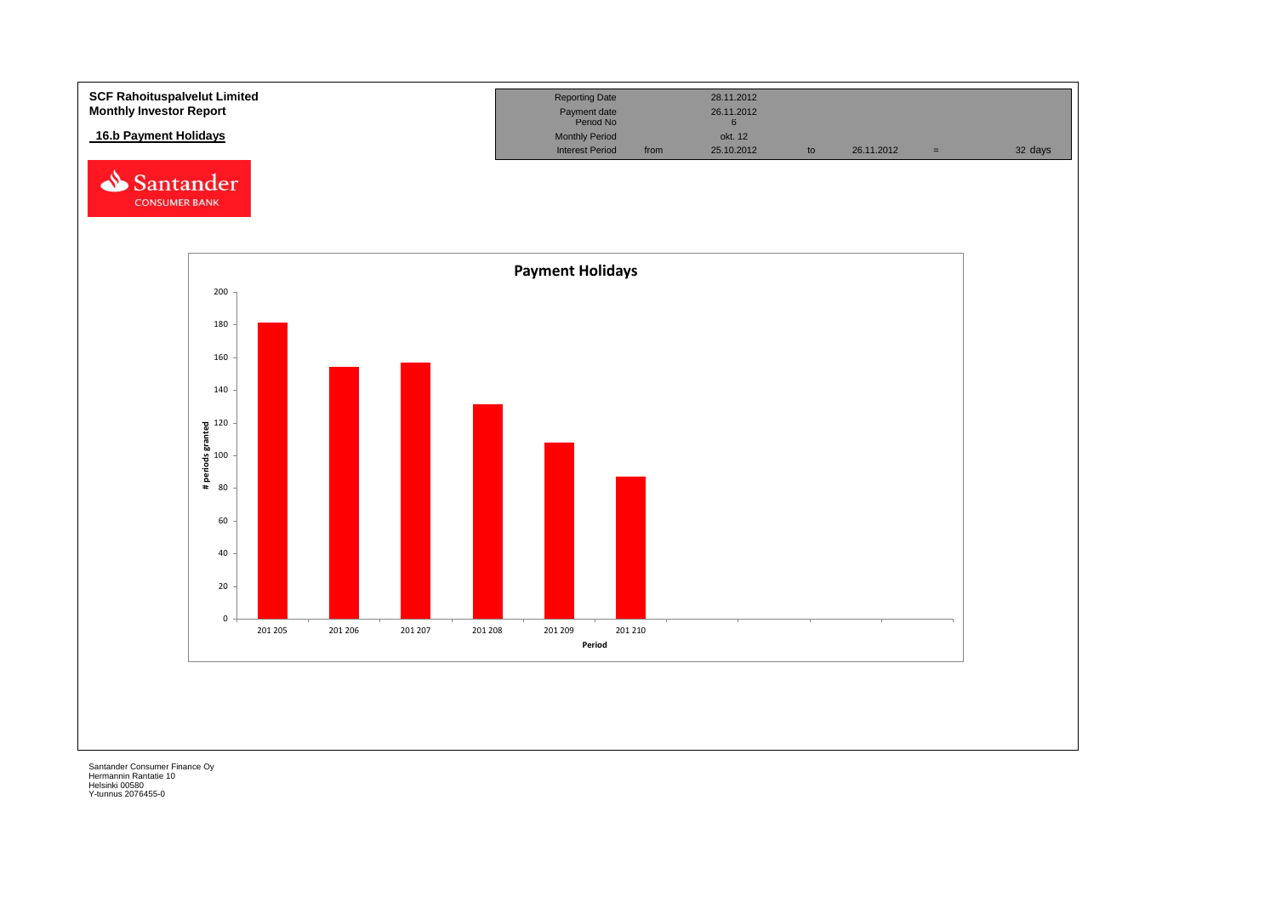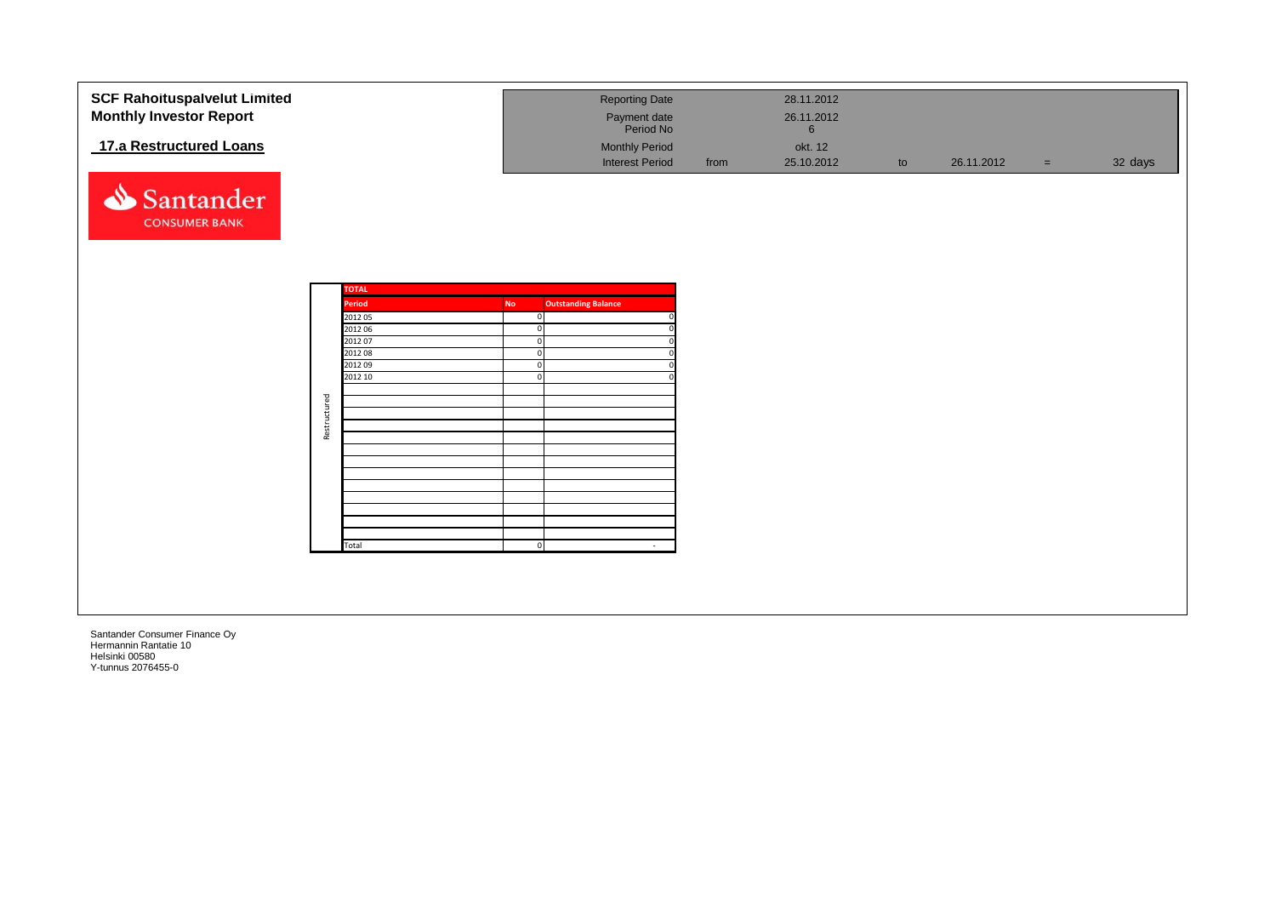| <b>SCF Rahoituspalvelut Limited</b><br><b>Monthly Investor Report</b> |              |                        |           | <b>Reporting Date</b><br>Payment date<br>Period No |      | 28.11.2012<br>26.11.2012<br>$6\phantom{1}$ |    |            |          |         |
|-----------------------------------------------------------------------|--------------|------------------------|-----------|----------------------------------------------------|------|--------------------------------------------|----|------------|----------|---------|
| 17.a Restructured Loans                                               |              |                        |           | <b>Monthly Period</b><br><b>Interest Period</b>    | from | okt. 12<br>25.10.2012                      | to | 26.11.2012 | $\equiv$ | 32 days |
| Santander<br><b>CONSUMER BANK</b>                                     |              |                        |           |                                                    |      |                                            |    |            |          |         |
|                                                                       |              |                        |           |                                                    |      |                                            |    |            |          |         |
|                                                                       |              | <b>TOTAL</b><br>Period | <b>No</b> | <b>Outstanding Balance</b>                         |      |                                            |    |            |          |         |
|                                                                       |              | 2012 05                |           | $\mathbf{0}$                                       |      |                                            |    |            |          |         |
|                                                                       |              | 2012 06                | $\Omega$  |                                                    |      |                                            |    |            |          |         |
|                                                                       |              | 2012 07                |           |                                                    |      |                                            |    |            |          |         |
|                                                                       |              | 2012 08                | $\Omega$  |                                                    |      |                                            |    |            |          |         |
|                                                                       |              | 2012 09                |           |                                                    |      |                                            |    |            |          |         |
|                                                                       |              | 2012 10                |           |                                                    |      |                                            |    |            |          |         |
|                                                                       |              |                        |           |                                                    |      |                                            |    |            |          |         |
|                                                                       |              |                        |           |                                                    |      |                                            |    |            |          |         |
|                                                                       | Restructured |                        |           |                                                    |      |                                            |    |            |          |         |
|                                                                       |              |                        |           |                                                    |      |                                            |    |            |          |         |
|                                                                       |              |                        |           |                                                    |      |                                            |    |            |          |         |
|                                                                       |              |                        |           |                                                    |      |                                            |    |            |          |         |
|                                                                       |              |                        |           |                                                    |      |                                            |    |            |          |         |
|                                                                       |              |                        |           |                                                    |      |                                            |    |            |          |         |
|                                                                       |              |                        |           |                                                    |      |                                            |    |            |          |         |
|                                                                       |              |                        |           |                                                    |      |                                            |    |            |          |         |
|                                                                       |              |                        |           |                                                    |      |                                            |    |            |          |         |
|                                                                       |              | Total                  |           | $\mathbf{0}$<br>$\sim$                             |      |                                            |    |            |          |         |
|                                                                       |              |                        |           |                                                    |      |                                            |    |            |          |         |
|                                                                       |              |                        |           |                                                    |      |                                            |    |            |          |         |
|                                                                       |              |                        |           |                                                    |      |                                            |    |            |          |         |
|                                                                       |              |                        |           |                                                    |      |                                            |    |            |          |         |
|                                                                       |              |                        |           |                                                    |      |                                            |    |            |          |         |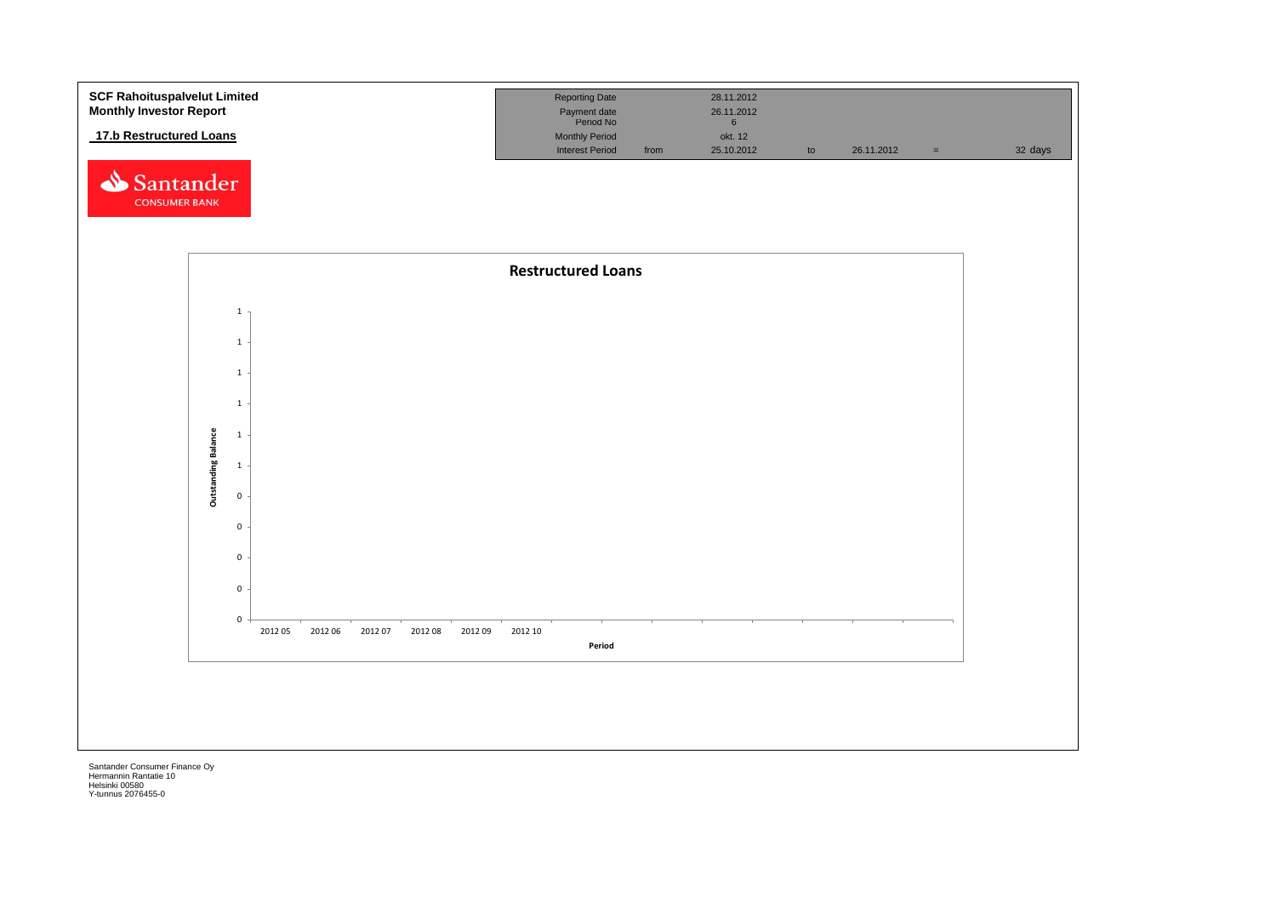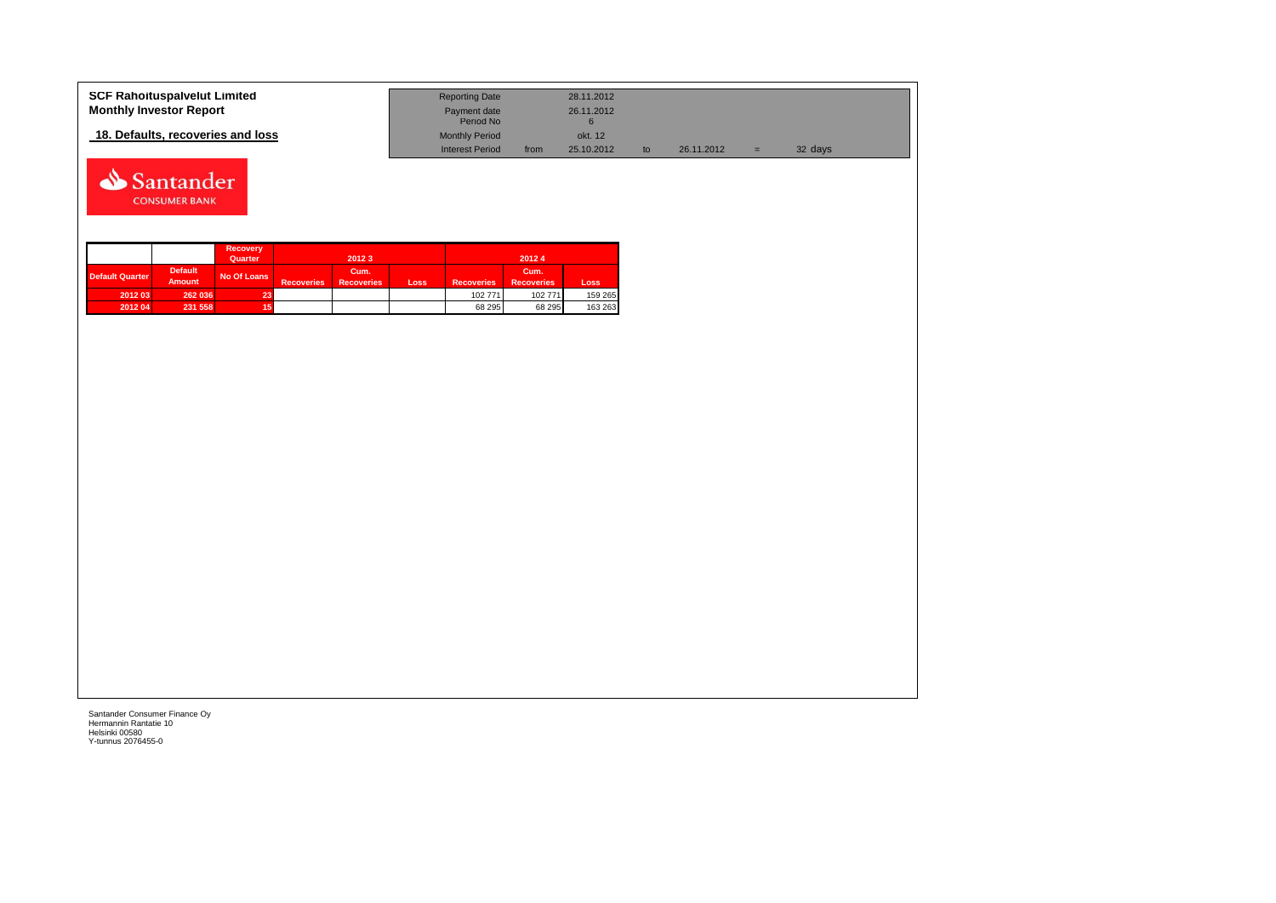| <b>SCF Rahoituspalvelut Limited</b> | <b>Reporting Date</b>     |      | 28.11.2012 |            |   |         |
|-------------------------------------|---------------------------|------|------------|------------|---|---------|
| <b>Monthly Investor Report</b>      | Payment date<br>Period No |      | 26.11.2012 |            |   |         |
| 18. Defaults, recoveries and loss   | <b>Monthly Period</b>     |      | okt. 12    |            |   |         |
|                                     | Interest Period           | from | 25.10.2012 | 26.11.2012 | = | 32 days |



|                 |                                 | <b>Recovery</b><br>Quarter |                   | 2012 3                    |      |                   | 20124                     |         |
|-----------------|---------------------------------|----------------------------|-------------------|---------------------------|------|-------------------|---------------------------|---------|
| Default Quarter | <b>Default</b><br><b>Amount</b> | No Of Loans                | <b>Recoveries</b> | Cum.<br><b>Recoveries</b> | Loss | <b>Recoveries</b> | Cum.<br><b>Recoveries</b> | Loss    |
| 2012 03         | 262 036                         | 23.                        |                   |                           |      | 102 771           | 102 771                   | 159 265 |
| 2012 04         | 231 558                         |                            |                   |                           |      | 68 295            | 68 295                    | 163 263 |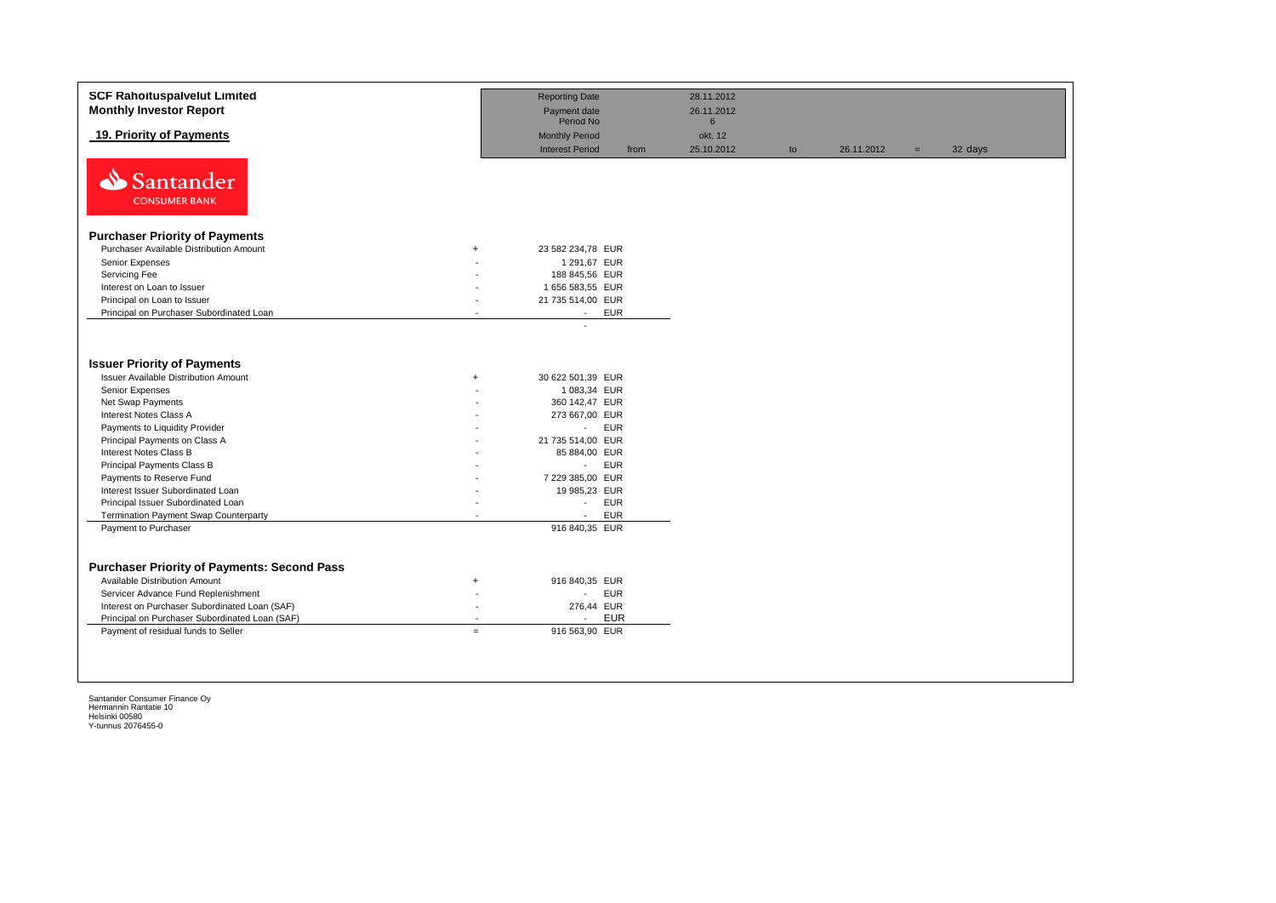| <b>SCF Rahoituspalvelut Limited</b><br><b>Monthly Investor Report</b> |                          | <b>Reporting Date</b><br>Payment date                   | 28.11.2012<br>26.11.2012 |    |            |     |         |
|-----------------------------------------------------------------------|--------------------------|---------------------------------------------------------|--------------------------|----|------------|-----|---------|
|                                                                       |                          | Period No                                               | 6                        |    |            |     |         |
| 19. Priority of Payments                                              |                          | <b>Monthly Period</b><br><b>Interest Period</b><br>from | okt. 12<br>25.10.2012    | to | 26.11.2012 | $=$ | 32 days |
| Santander<br><b>CONSUMER BANK</b>                                     |                          |                                                         |                          |    |            |     |         |
| <b>Purchaser Priority of Payments</b>                                 |                          |                                                         |                          |    |            |     |         |
| Purchaser Available Distribution Amount                               | $+$                      | 23 582 234,78 EUR                                       |                          |    |            |     |         |
| Senior Expenses                                                       |                          | 1 291,67 EUR                                            |                          |    |            |     |         |
| Servicing Fee                                                         |                          | 188 845,56 EUR                                          |                          |    |            |     |         |
| Interest on Loan to Issuer                                            |                          | 1 656 583,55 EUR                                        |                          |    |            |     |         |
| Principal on Loan to Issuer                                           | $\sim$                   | 21 735 514,00 EUR                                       |                          |    |            |     |         |
| Principal on Purchaser Subordinated Loan                              |                          | <b>EUR</b><br>$\sim$                                    |                          |    |            |     |         |
| <b>Issuer Priority of Payments</b>                                    |                          |                                                         |                          |    |            |     |         |
| <b>Issuer Available Distribution Amount</b>                           | $\ddot{}$                | 30 622 501,39 EUR                                       |                          |    |            |     |         |
| Senior Expenses                                                       |                          | 1 083,34 EUR                                            |                          |    |            |     |         |
| Net Swap Payments                                                     |                          | 360 142,47 EUR                                          |                          |    |            |     |         |
| Interest Notes Class A                                                |                          | 273 667,00 EUR                                          |                          |    |            |     |         |
| Payments to Liquidity Provider                                        |                          | <b>EUR</b><br>$\mathcal{L}_{\mathrm{max}}$              |                          |    |            |     |         |
| Principal Payments on Class A                                         |                          | 21 735 514,00 EUR                                       |                          |    |            |     |         |
| Interest Notes Class B                                                |                          | 85 884,00 EUR                                           |                          |    |            |     |         |
| Principal Payments Class B                                            |                          | <b>EUR</b><br>$\omega_{\rm{max}}$                       |                          |    |            |     |         |
| Payments to Reserve Fund                                              |                          | 7 229 385,00 EUR                                        |                          |    |            |     |         |
| Interest Issuer Subordinated Loan                                     |                          | 19 985,23 EUR                                           |                          |    |            |     |         |
| Principal Issuer Subordinated Loan                                    |                          | <b>EUR</b><br>$\sim$                                    |                          |    |            |     |         |
| Termination Payment Swap Counterparty                                 |                          | <b>EUR</b><br>$\sim$                                    |                          |    |            |     |         |
| Payment to Purchaser                                                  |                          | 916 840,35 EUR                                          |                          |    |            |     |         |
|                                                                       |                          |                                                         |                          |    |            |     |         |
|                                                                       |                          |                                                         |                          |    |            |     |         |
| <b>Purchaser Priority of Payments: Second Pass</b>                    |                          |                                                         |                          |    |            |     |         |
| Available Distribution Amount                                         | $\ddot{}$                | 916 840,35 EUR                                          |                          |    |            |     |         |
| Servicer Advance Fund Replenishment                                   |                          | <b>EUR</b><br>$\blacksquare$                            |                          |    |            |     |         |
| Interest on Purchaser Subordinated Loan (SAF)                         | $\overline{\phantom{a}}$ | 276,44 EUR                                              |                          |    |            |     |         |
| Principal on Purchaser Subordinated Loan (SAF)                        | $\overline{\phantom{a}}$ | <b>EUR</b><br>$\overline{a}$                            |                          |    |            |     |         |
| Payment of residual funds to Seller                                   | $=$                      | 916 563,90 EUR                                          |                          |    |            |     |         |
|                                                                       |                          |                                                         |                          |    |            |     |         |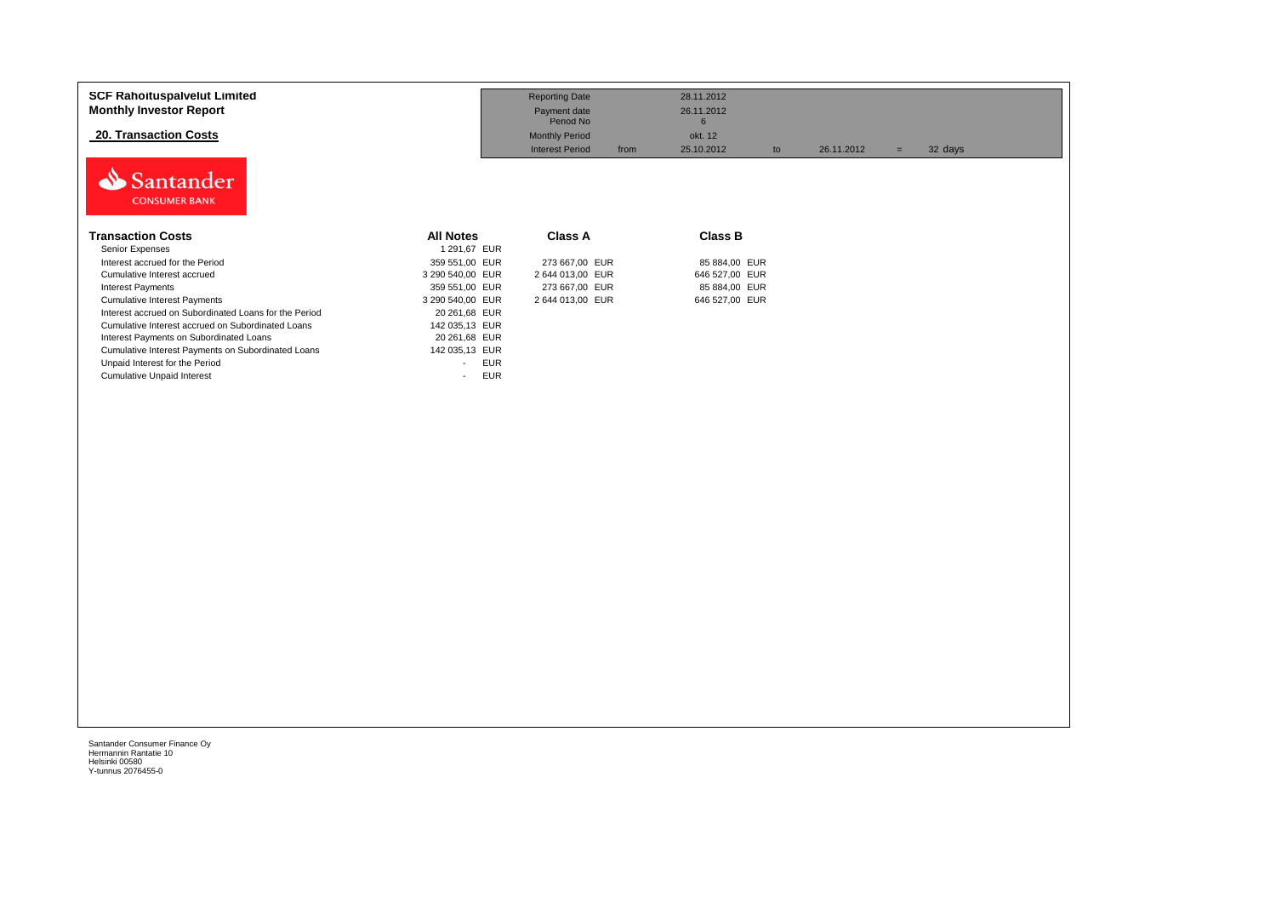| <b>SCF Rahoituspalvelut Limited</b><br><b>Monthly Investor Report</b> |                      | <b>Reporting Date</b><br>Payment date<br>Period No |      | 28.11.2012<br>26.11.2012<br>6 |    |            |     |         |
|-----------------------------------------------------------------------|----------------------|----------------------------------------------------|------|-------------------------------|----|------------|-----|---------|
| 20. Transaction Costs                                                 |                      | <b>Monthly Period</b><br><b>Interest Period</b>    |      | okt. 12<br>25.10.2012         |    | 26.11.2012 |     |         |
| Santander<br><b>CONSUMER BANK</b>                                     |                      |                                                    | from |                               | to |            | $=$ | 32 days |
| <b>Transaction Costs</b>                                              | <b>All Notes</b>     | <b>Class A</b>                                     |      | <b>Class B</b>                |    |            |     |         |
| Senior Expenses                                                       | 1 291,67 EUR         |                                                    |      |                               |    |            |     |         |
| Interest accrued for the Period                                       | 359 551.00 EUR       | 273 667,00 EUR                                     |      | 85 884,00 EUR                 |    |            |     |         |
| Cumulative Interest accrued                                           | 3 290 540,00 EUR     | 2 644 013,00 EUR                                   |      | 646 527,00 EUR                |    |            |     |         |
| <b>Interest Payments</b>                                              | 359 551,00 EUR       | 273 667,00 EUR                                     |      | 85 884,00 EUR                 |    |            |     |         |
| <b>Cumulative Interest Payments</b>                                   | 3 290 540,00 EUR     | 2 644 013,00 EUR                                   |      | 646 527,00 EUR                |    |            |     |         |
| Interest accrued on Subordinated Loans for the Period                 | 20 261,68 EUR        |                                                    |      |                               |    |            |     |         |
| Cumulative Interest accrued on Subordinated Loans                     | 142 035,13 EUR       |                                                    |      |                               |    |            |     |         |
| Interest Payments on Subordinated Loans                               | 20 261,68 EUR        |                                                    |      |                               |    |            |     |         |
| Cumulative Interest Payments on Subordinated Loans                    | 142 035,13 EUR       |                                                    |      |                               |    |            |     |         |
| Unpaid Interest for the Period                                        | <b>EUR</b><br>$\sim$ |                                                    |      |                               |    |            |     |         |
| <b>Cumulative Unpaid Interest</b>                                     | <b>EUR</b><br>$\sim$ |                                                    |      |                               |    |            |     |         |
|                                                                       |                      |                                                    |      |                               |    |            |     |         |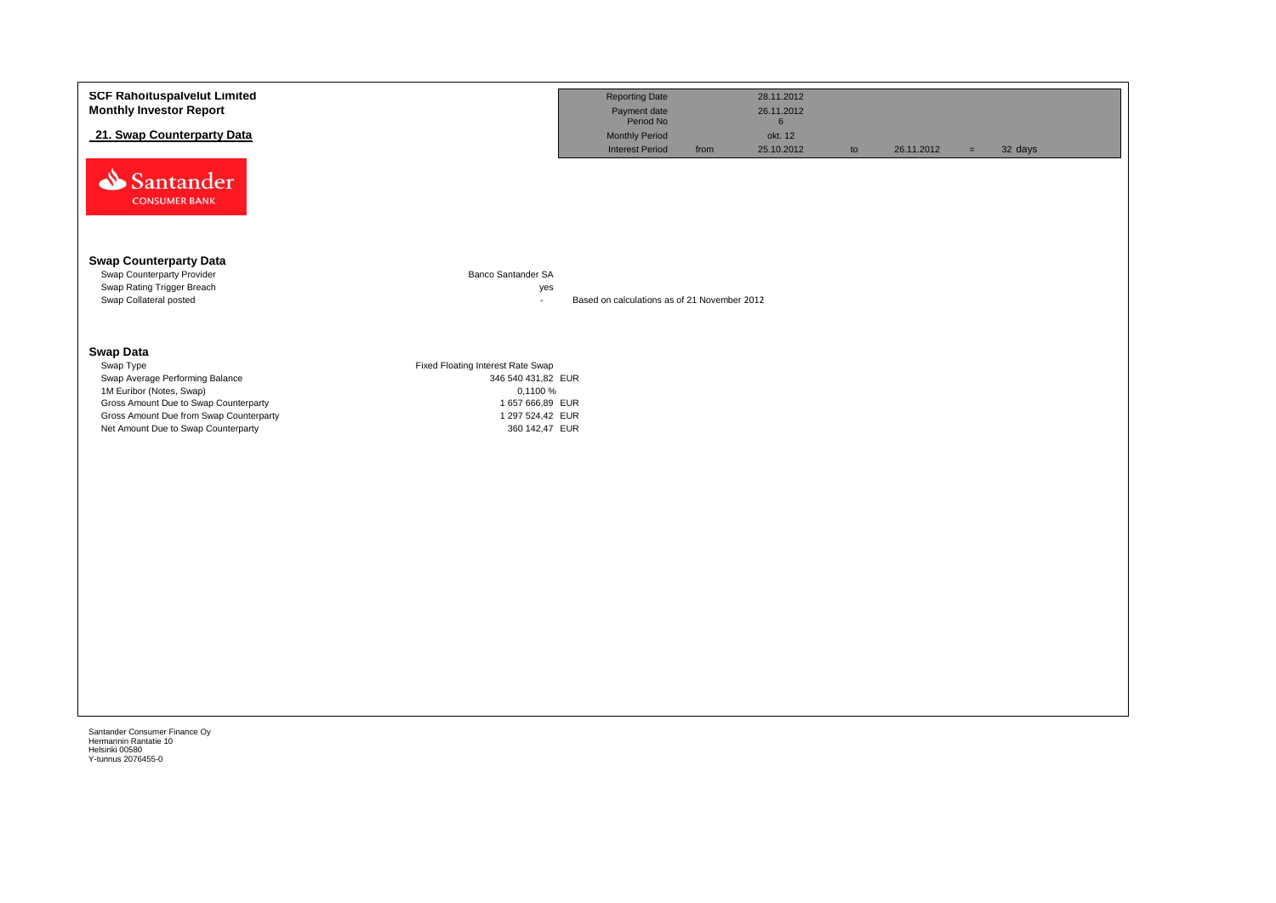| <b>SCF Rahoituspalvelut Limited</b><br><b>Monthly Investor Report</b>          |                                    | <b>Reporting Date</b><br>Payment date                        |      | 28.11.2012<br>26.11.2012                 |    |            |          |         |
|--------------------------------------------------------------------------------|------------------------------------|--------------------------------------------------------------|------|------------------------------------------|----|------------|----------|---------|
| 21. Swap Counterparty Data                                                     |                                    | Period No<br><b>Monthly Period</b><br><b>Interest Period</b> | from | $6\phantom{.}6$<br>okt. 12<br>25.10.2012 | to | 26.11.2012 | $=$ $\,$ | 32 days |
| Santander<br><b>CONSUMER BANK</b>                                              |                                    |                                                              |      |                                          |    |            |          |         |
| <b>Swap Counterparty Data</b>                                                  |                                    |                                                              |      |                                          |    |            |          |         |
| Swap Counterparty Provider<br>Swap Rating Trigger Breach                       | Banco Santander SA<br>yes          |                                                              |      |                                          |    |            |          |         |
| Swap Collateral posted                                                         | $\sim$                             | Based on calculations as of 21 November 2012                 |      |                                          |    |            |          |         |
| <b>Swap Data</b>                                                               |                                    |                                                              |      |                                          |    |            |          |         |
| Swap Type                                                                      | Fixed Floating Interest Rate Swap  |                                                              |      |                                          |    |            |          |         |
| Swap Average Performing Balance<br>1M Euribor (Notes, Swap)                    | 346 540 431,82 EUR<br>0,1100 %     |                                                              |      |                                          |    |            |          |         |
| Gross Amount Due to Swap Counterparty                                          | 1 657 666,89 EUR                   |                                                              |      |                                          |    |            |          |         |
| Gross Amount Due from Swap Counterparty<br>Net Amount Due to Swap Counterparty | 1 297 524,42 EUR<br>360 142,47 EUR |                                                              |      |                                          |    |            |          |         |
|                                                                                |                                    |                                                              |      |                                          |    |            |          |         |
|                                                                                |                                    |                                                              |      |                                          |    |            |          |         |
|                                                                                |                                    |                                                              |      |                                          |    |            |          |         |
|                                                                                |                                    |                                                              |      |                                          |    |            |          |         |
|                                                                                |                                    |                                                              |      |                                          |    |            |          |         |
|                                                                                |                                    |                                                              |      |                                          |    |            |          |         |
|                                                                                |                                    |                                                              |      |                                          |    |            |          |         |
|                                                                                |                                    |                                                              |      |                                          |    |            |          |         |
|                                                                                |                                    |                                                              |      |                                          |    |            |          |         |
|                                                                                |                                    |                                                              |      |                                          |    |            |          |         |
|                                                                                |                                    |                                                              |      |                                          |    |            |          |         |
|                                                                                |                                    |                                                              |      |                                          |    |            |          |         |
| Santander Consumer Finance Oy<br>Hermannin Rantatie 10                         |                                    |                                                              |      |                                          |    |            |          |         |
| Helsinki 00580<br>Y-tunnus 2076455-0                                           |                                    |                                                              |      |                                          |    |            |          |         |